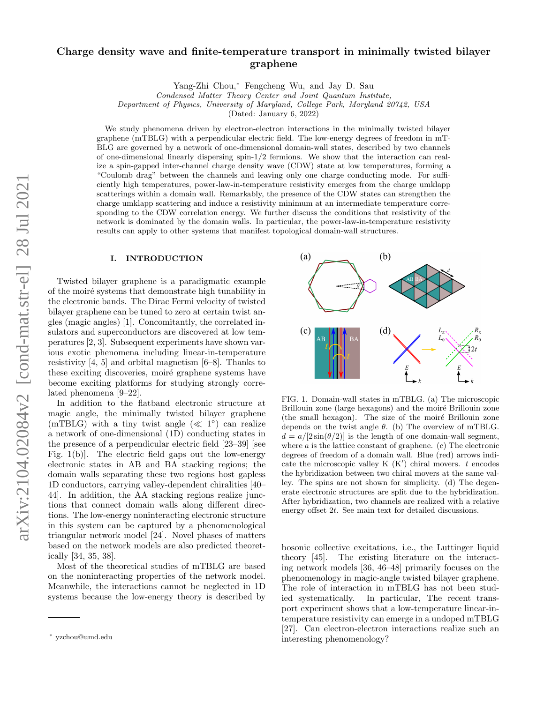# arXiv:2104.02084v2 [cond-mat.str-el] 28 Jul 2021 arXiv:2104.02084v2 [cond-mat.str-el] 28 Jul 2021

# Charge density wave and finite-temperature transport in minimally twisted bilayer graphene

Yang-Zhi Chou,[∗](#page-0-0) Fengcheng Wu, and Jay D. Sau

Condensed Matter Theory Center and Joint Quantum Institute,

Department of Physics, University of Maryland, College Park, Maryland 20742, USA

(Dated: January 6, 2022)

We study phenomena driven by electron-electron interactions in the minimally twisted bilayer graphene (mTBLG) with a perpendicular electric field. The low-energy degrees of freedom in mT-BLG are governed by a network of one-dimensional domain-wall states, described by two channels of one-dimensional linearly dispersing spin-1/2 fermions. We show that the interaction can realize a spin-gapped inter-channel charge density wave (CDW) state at low temperatures, forming a "Coulomb drag" between the channels and leaving only one charge conducting mode. For sufficiently high temperatures, power-law-in-temperature resistivity emerges from the charge umklapp scatterings within a domain wall. Remarkably, the presence of the CDW states can strengthen the charge umklapp scattering and induce a resistivity minimum at an intermediate temperature corresponding to the CDW correlation energy. We further discuss the conditions that resistivity of the network is dominated by the domain walls. In particular, the power-law-in-temperature resistivity results can apply to other systems that manifest topological domain-wall structures.

# I. INTRODUCTION

Twisted bilayer graphene is a paradigmatic example of the moiré systems that demonstrate high tunability in the electronic bands. The Dirac Fermi velocity of twisted bilayer graphene can be tuned to zero at certain twist angles (magic angles) [\[1\]](#page-12-0). Concomitantly, the correlated insulators and superconductors are discovered at low temperatures [\[2,](#page-12-1) [3\]](#page-12-2). Subsequent experiments have shown various exotic phenomena including linear-in-temperature resistivity [\[4,](#page-12-3) [5\]](#page-12-4) and orbital magnetism [\[6](#page-12-5)[–8\]](#page-12-6). Thanks to these exciting discoveries, moiré graphene systems have become exciting platforms for studying strongly correlated phenomena [\[9](#page-12-7)[–22\]](#page-12-8).

In addition to the flatband electronic structure at magic angle, the minimally twisted bilayer graphene (mTBLG) with a tiny twist angle  $(\ll 1^{\circ})$  can realize a network of one-dimensional (1D) conducting states in the presence of a perpendicular electric field [\[23](#page-12-9)[–39\]](#page-13-0) [see Fig. [1\(](#page-0-1)b)]. The electric field gaps out the low-energy electronic states in AB and BA stacking regions; the domain walls separating these two regions host gapless 1D conductors, carrying valley-dependent chiralities [\[40–](#page-13-1) [44\]](#page-13-2). In addition, the AA stacking regions realize junctions that connect domain walls along different directions. The low-energy noninteracting electronic structure in this system can be captured by a phenomenological triangular network model [\[24\]](#page-12-10). Novel phases of matters based on the network models are also predicted theoretically [\[34,](#page-13-3) [35,](#page-13-4) [38\]](#page-13-5).

Most of the theoretical studies of mTBLG are based on the noninteracting properties of the network model. Meanwhile, the interactions cannot be neglected in 1D systems because the low-energy theory is described by



<span id="page-0-1"></span>FIG. 1. Domain-wall states in mTBLG. (a) The microscopic Brillouin zone (large hexagons) and the moiré Brillouin zone  $($ the small hexagon $)$ . The size of the moiré Brillouin zone depends on the twist angle  $\theta$ . (b) The overview of mTBLG.  $d = a/[2\sin(\theta/2)]$  is the length of one domain-wall segment, where  $\alpha$  is the lattice constant of graphene. (c) The electronic degrees of freedom of a domain wall. Blue (red) arrows indicate the microscopic valley  $K(K')$  chiral movers. t encodes the hybridization between two chiral movers at the same valley. The spins are not shown for simplicity. (d) The degenerate electronic structures are split due to the hybridization. After hybridization, two channels are realized with a relative energy offset 2t. See main text for detailed discussions.

bosonic collective excitations, i.e., the Luttinger liquid theory [\[45\]](#page-13-6). The existing literature on the interacting network models [\[36,](#page-13-7) [46–](#page-13-8)[48\]](#page-13-9) primarily focuses on the phenomenology in magic-angle twisted bilayer graphene. The role of interaction in mTBLG has not been studied systematically. In particular, The recent transport experiment shows that a low-temperature linear-intemperature resistivity can emerge in a undoped mTBLG [\[27\]](#page-12-11). Can electron-electron interactions realize such an interesting phenomenology?

<span id="page-0-0"></span><sup>∗</sup> [yzchou@umd.edu](mailto:yzchou@umd.edu)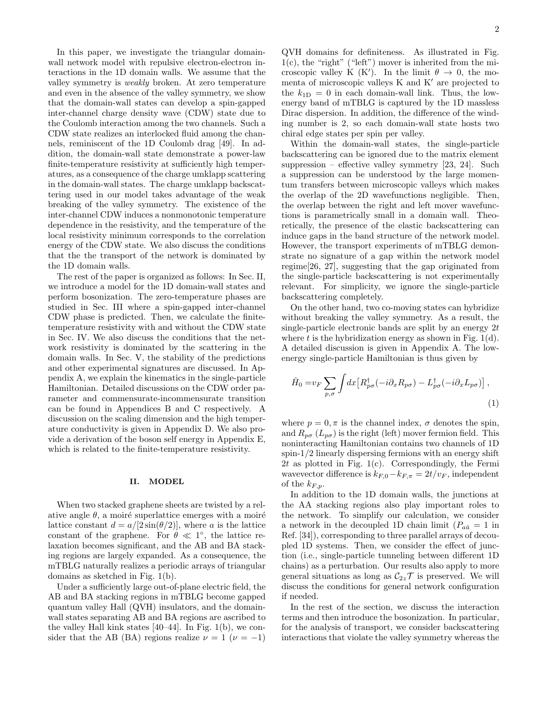In this paper, we investigate the triangular domainwall network model with repulsive electron-electron interactions in the 1D domain walls. We assume that the valley symmetry is weakly broken. At zero temperature and even in the absence of the valley symmetry, we show that the domain-wall states can develop a spin-gapped inter-channel charge density wave (CDW) state due to the Coulomb interaction among the two channels. Such a CDW state realizes an interlocked fluid among the channels, reminiscent of the 1D Coulomb drag [\[49\]](#page-13-10). In addition, the domain-wall state demonstrate a power-law finite-temperature resistivity at sufficiently high temperatures, as a consequence of the charge umklapp scattering in the domain-wall states. The charge umklapp backscattering used in our model takes advantage of the weak breaking of the valley symmetry. The existence of the inter-channel CDW induces a nonmonotonic temperature dependence in the resistivity, and the temperature of the local resistivity minimum corresponds to the correlation energy of the CDW state. We also discuss the conditions that the the transport of the network is dominated by the 1D domain walls.

The rest of the paper is organized as follows: In Sec. [II,](#page-1-0) we introduce a model for the 1D domain-wall states and perform bosonization. The zero-temperature phases are studied in Sec. [III](#page-3-0) where a spin-gapped inter-channel CDW phase is predicted. Then, we calculate the finitetemperature resistivity with and without the CDW state in Sec. [IV.](#page-5-0) We also discuss the conditions that the network resistivity is dominated by the scattering in the domain walls. In Sec. [V,](#page-8-0) the stability of the predictions and other experimental signatures are discussed. In Appendix [A,](#page-9-0) we explain the kinematics in the single-particle Hamiltonian. Detailed discussions on the CDW order parameter and commensurate-incommensurate transition can be found in Appendices [B](#page-10-0) and [C](#page-10-1) respectively. A discussion on the scaling dimension and the high temperature conductivity is given in Appendix [D.](#page-10-2) We also provide a derivation of the boson self energy in Appendix [E,](#page-11-0) which is related to the finite-temperature resistivity.

# <span id="page-1-0"></span>II. MODEL

When two stacked graphene sheets are twisted by a relative angle  $\theta$ , a moiré superlattice emerges with a moiré lattice constant  $d = a/[2\sin(\theta/2)]$ , where a is the lattice constant of the graphene. For  $\theta \ll 1^{\circ}$ , the lattice relaxation becomes significant, and the AB and BA stacking regions are largely expanded. As a consequence, the mTBLG naturally realizes a periodic arrays of triangular domains as sketched in Fig. [1\(](#page-0-1)b).

Under a sufficiently large out-of-plane electric field, the AB and BA stacking regions in mTBLG become gapped quantum valley Hall (QVH) insulators, and the domainwall states separating AB and BA regions are ascribed to the valley Hall kink states  $[40-44]$  $[40-44]$ . In Fig. [1\(](#page-0-1)b), we consider that the AB (BA) regions realize  $\nu = 1$  ( $\nu = -1$ )

QVH domains for definiteness. As illustrated in Fig.  $1(c)$  $1(c)$ , the "right" ("left") mover is inherited from the microscopic valley K (K'). In the limit  $\theta \to 0$ , the momenta of microscopic valleys  $K$  and  $K'$  are projected to the  $k_{1D} = 0$  in each domain-wall link. Thus, the lowenergy band of mTBLG is captured by the 1D massless Dirac dispersion. In addition, the difference of the winding number is 2, so each domain-wall state hosts two chiral edge states per spin per valley.

Within the domain-wall states, the single-particle backscattering can be ignored due to the matrix element suppression – effective valley symmetry  $[23, 24]$  $[23, 24]$ . Such a suppression can be understood by the large momentum transfers between microscopic valleys which makes the overlap of the 2D wavefunctions negligible. Then, the overlap between the right and left mover wavefunctions is parametrically small in a domain wall. Theoretically, the presence of the elastic backscattering can induce gaps in the band structure of the network model. However, the transport experiments of mTBLG demonstrate no signature of a gap within the network model regime[\[26,](#page-12-12) [27\]](#page-12-11), suggesting that the gap originated from the single-particle backscattering is not experimentally relevant. For simplicity, we ignore the single-particle backscattering completely.

On the other hand, two co-moving states can hybridize without breaking the valley symmetry. As a result, the single-particle electronic bands are split by an energy  $2t$ where t is the hybridization energy as shown in Fig.  $1(d)$  $1(d)$ . A detailed discussion is given in Appendix [A.](#page-9-0) The lowenergy single-particle Hamiltonian is thus given by

<span id="page-1-1"></span>
$$
\hat{H}_0 = v_F \sum_{p,\sigma} \int dx \left[ R_{p\sigma}^\dagger (-i\partial_x R_{p\sigma}) - L_{p\sigma}^\dagger (-i\partial_x L_{p\sigma}) \right],\tag{1}
$$

where  $p = 0, \pi$  is the channel index,  $\sigma$  denotes the spin, and  $R_{p\sigma}$  ( $L_{p\sigma}$ ) is the right (left) mover fermion field. This noninteracting Hamiltonian contains two channels of 1D spin-1/2 linearly dispersing fermions with an energy shift 2t as plotted in Fig.  $1(c)$  $1(c)$ . Correspondingly, the Fermi wavevector difference is  $k_{F,0}-k_{F,\pi} = 2t/v_F$ , independent of the  $k_{F,n}$ .

In addition to the 1D domain walls, the junctions at the AA stacking regions also play important roles to the network. To simplify our calculation, we consider a network in the decoupled 1D chain limit ( $P_{a\bar{a}} = 1$  in Ref. [\[34\]](#page-13-3)), corresponding to three parallel arrays of decoupled 1D systems. Then, we consider the effect of junction (i.e., single-particle tunneling between different 1D chains) as a perturbation. Our results also apply to more general situations as long as  $C_{2z}\mathcal{T}$  is preserved. We will discuss the conditions for general network configuration if needed.

In the rest of the section, we discuss the interaction terms and then introduce the bosonization. In particular, for the analysis of transport, we consider backscattering interactions that violate the valley symmetry whereas the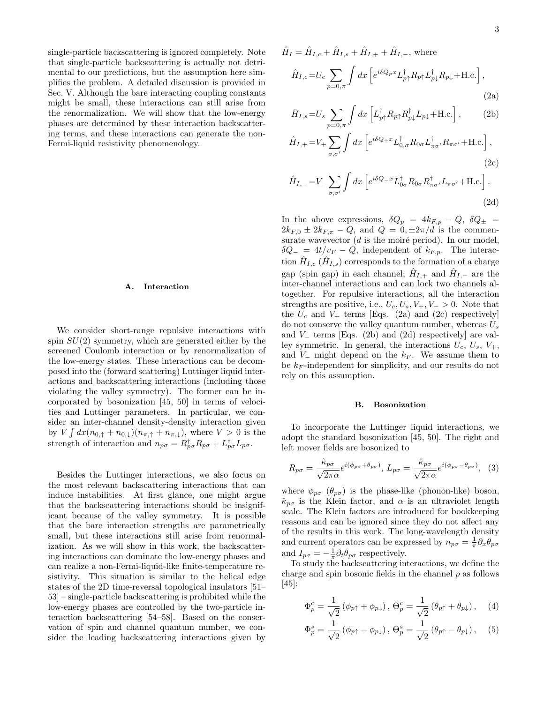single-particle backscattering is ignored completely. Note that single-particle backscattering is actually not detrimental to our predictions, but the assumption here simplifies the problem. A detailed discussion is provided in Sec. [V.](#page-8-0) Although the bare interacting coupling constants might be small, these interactions can still arise from the renormalization. We will show that the low-energy phases are determined by these interaction backscattering terms, and these interactions can generate the non-Fermi-liquid resistivity phenomenology.

# A. Interaction

We consider short-range repulsive interactions with spin  $SU(2)$  symmetry, which are generated either by the screened Coulomb interaction or by renormalization of the low-energy states. These interactions can be decomposed into the (forward scattering) Luttinger liquid interactions and backscattering interactions (including those violating the valley symmetry). The former can be incorporated by bosonization [\[45,](#page-13-6) [50\]](#page-13-11) in terms of velocities and Luttinger parameters. In particular, we consider an inter-channel density-density interaction given by  $V \int dx (n_{0,\uparrow} + n_{0,\downarrow})(n_{\pi,\uparrow} + n_{\pi,\downarrow}),$  where  $V > 0$  is the strength of interaction and  $n_{p\sigma} = R^{\dagger}_{p\sigma} R_{p\sigma} + L^{\dagger}_{p\sigma} L_{p\sigma}$ .

Besides the Luttinger interactions, we also focus on the most relevant backscattering interactions that can induce instabilities. At first glance, one might argue that the backscattering interactions should be insignificant because of the valley symmetry. It is possible that the bare interaction strengths are parametrically small, but these interactions still arise from renormalization. As we will show in this work, the backscattering interactions can dominate the low-energy phases and can realize a non-Fermi-liquid-like finite-temperature resistivity. This situation is similar to the helical edge states of the 2D time-reversal topological insulators [\[51–](#page-13-12) [53\]](#page-13-13) – single-particle backscattering is prohibited while the low-energy phases are controlled by the two-particle interaction backscattering [\[54–](#page-13-14)[58\]](#page-13-15). Based on the conservation of spin and channel quantum number, we consider the leading backscattering interactions given by

$$
\hat{H}_I = \hat{H}_{I,c} + \hat{H}_{I,s} + \hat{H}_{I,+} + \hat{H}_{I,-}, \text{ where}
$$
\n
$$
\hat{H}_{I,c} = U_c \sum_{p=0,\pi} \int dx \left[ e^{i\delta Q_p x} L_{p\uparrow}^{\dagger} R_{p\uparrow} L_{p\downarrow}^{\dagger} R_{p\downarrow} + \text{H.c.} \right],
$$

$$
\hat{H}_{I,s} = U_s \sum_{p=0,\pi} \int dx \left[ L_{p\uparrow}^{\dagger} R_{p\uparrow} R_{p\downarrow}^{\dagger} L_{p\downarrow} + \text{H.c.} \right],\tag{2b}
$$

$$
\hat{H}_{I,+} = V_{+} \sum_{\sigma,\sigma'} \int dx \left[ e^{i\delta Q_{+}x} L_{0,\sigma}^{\dagger} R_{0\sigma} L_{\pi\sigma'}^{\dagger} R_{\pi\sigma'} + \text{H.c.} \right],\tag{2c}
$$

$$
\hat{H}_{I,-} = V_{-} \sum_{\sigma,\sigma'} \int dx \left[ e^{i\delta Q_{-}x} L_{0\sigma}^{\dagger} R_{0\sigma} R_{\pi\sigma'}^{\dagger} L_{\pi\sigma'} + \text{H.c.} \right]. \tag{2d}
$$

In the above expressions,  $\delta Q_p = 4k_{F,p} - Q$ ,  $\delta Q_{\pm} =$  $2k_{F,0} \pm 2k_{F,\pi} - Q$ , and  $Q = 0, \pm 2\pi/d$  is the commensurate wavevector  $(d \text{ is the moire period})$ . In our model,  $\delta Q_-\,\,=\,\,4t/v_F\,-\,Q,\,\,$ independent of  $k_{F,p}$ . The interaction  $\hat{H}_{I,c}(\hat{H}_{I,s})$  corresponds to the formation of a charge gap (spin gap) in each channel;  $\hat{H}_{I,+}$  and  $\hat{H}_{I,-}$  are the inter-channel interactions and can lock two channels altogether. For repulsive interactions, all the interaction strengths are positive, i.e.,  $U_c, U_s, V_+, V_- > 0$ . Note that the  $U_c$  and  $V_+$  terms [Eqs. [\(2a\)](#page-2-0) and [\(2c\)](#page-2-1) respectively] do not conserve the valley quantum number, whereas  $U_s$ and  $V_$  terms [Eqs. [\(2b\)](#page-2-2) and [\(2d\)](#page-2-3) respectively] are valley symmetric. In general, the interactions  $U_c$ ,  $U_s$ ,  $V_+$ , and  $V_-\$  might depend on the  $k_F$ . We assume them to be  $k_F$ -independent for simplicity, and our results do not rely on this assumption.

### B. Bosonization

To incorporate the Luttinger liquid interactions, we adopt the standard bosonization [\[45,](#page-13-6) [50\]](#page-13-11). The right and left mover fields are bosonized to

$$
R_{p\sigma} = \frac{\hat{\kappa}_{p\sigma}}{\sqrt{2\pi\alpha}} e^{i(\phi_{p\sigma} + \theta_{p\sigma})}, L_{p\sigma} = \frac{\hat{\kappa}_{p\sigma}}{\sqrt{2\pi\alpha}} e^{i(\phi_{p\sigma} - \theta_{p\sigma})}, (3)
$$

where  $\phi_{p\sigma}$  ( $\theta_{p\sigma}$ ) is the phase-like (phonon-like) boson,  $\hat{\kappa}_{p\sigma}$  is the Klein factor, and  $\alpha$  is an ultraviolet length scale. The Klein factors are introduced for bookkeeping reasons and can be ignored since they do not affect any of the results in this work. The long-wavelength density and current operators can be expressed by  $n_{p\sigma} = \frac{1}{\pi} \partial_x \theta_{p\sigma}$ and  $I_{p\sigma} = -\frac{1}{\pi} \partial_t \theta_{p\sigma}$  respectively.

To study the backscattering interactions, we define the charge and spin bosonic fields in the channel p as follows [\[45\]](#page-13-6):

$$
\Phi_p^c = \frac{1}{\sqrt{2}} \left( \phi_{p\uparrow} + \phi_{p\downarrow} \right), \ \Theta_p^c = \frac{1}{\sqrt{2}} \left( \theta_{p\uparrow} + \theta_{p\downarrow} \right), \tag{4}
$$

$$
\Phi_p^s = \frac{1}{\sqrt{2}} \left( \phi_{p\uparrow} - \phi_{p\downarrow} \right), \ \Theta_p^s = \frac{1}{\sqrt{2}} \left( \theta_{p\uparrow} - \theta_{p\downarrow} \right), \tag{5}
$$

<span id="page-2-4"></span><span id="page-2-3"></span><span id="page-2-2"></span><span id="page-2-1"></span><span id="page-2-0"></span>(2a)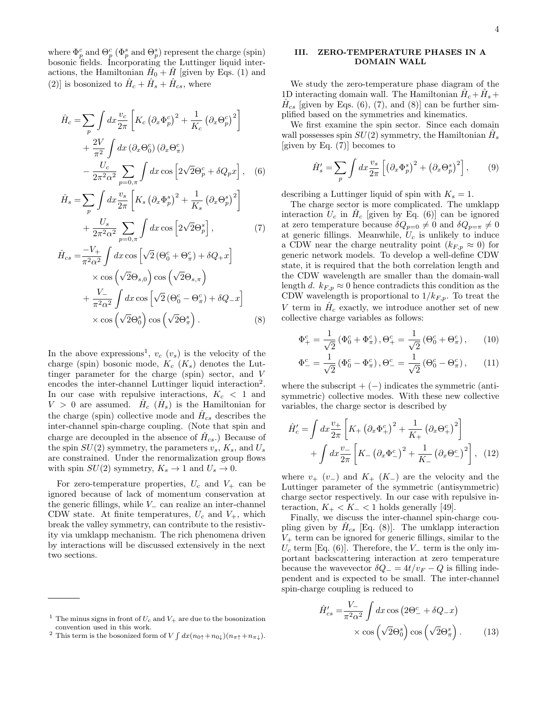where  $\Phi_p^c$  and  $\Theta_p^c$  ( $\Phi_p^s$  and  $\Theta_p^s$ ) represent the charge (spin) bosonic fields. Incorporating the Luttinger liquid interactions, the Hamiltonian  $\hat{H}_0 + \hat{H}$  [given by Eqs. [\(1\)](#page-1-1) and [\(2\)](#page-2-4)] is bosonized to  $\hat{H}_c + \hat{H}_s + \hat{H}_{cs}$ , where

$$
\hat{H}_c = \sum_p \int dx \frac{v_c}{2\pi} \left[ K_c \left( \partial_x \Phi_p^c \right)^2 + \frac{1}{K_c} \left( \partial_x \Theta_p^c \right)^2 \right] \n+ \frac{2V}{\pi^2} \int dx \left( \partial_x \Theta_0^c \right) \left( \partial_x \Theta_\pi^c \right) \n- \frac{U_c}{2\pi^2 \alpha^2} \sum_{p=0,\pi} \int dx \cos \left[ 2\sqrt{2} \Theta_p^c + \delta Q_p x \right], \quad (6)
$$

$$
\hat{H}_s = \sum_p \int dx \frac{v_s}{2\pi} \left[ K_s \left( \partial_x \Phi_p^s \right)^2 + \frac{1}{K_s} \left( \partial_x \Theta_p^s \right)^2 \right] + \frac{U_s}{2\pi^2 \alpha^2} \sum_{p=0,\pi} \int dx \cos \left[ 2\sqrt{2} \Theta_p^s \right],\n\tag{7}
$$

$$
\hat{H}_{cs} = \frac{-V_{+}}{\pi^{2} \alpha^{2}} \int dx \cos \left[\sqrt{2} \left(\Theta_{0}^{c} + \Theta_{\pi}^{c}\right) + \delta Q_{+} x\right] \times \cos \left(\sqrt{2} \Theta_{s,0}\right) \cos \left(\sqrt{2} \Theta_{s,\pi}\right) \n+ \frac{V_{-}}{\pi^{2} \alpha^{2}} \int dx \cos \left[\sqrt{2} \left(\Theta_{0}^{c} - \Theta_{\pi}^{c}\right) + \delta Q_{-} x\right] \times \cos \left(\sqrt{2} \Theta_{0}^{s}\right) \cos \left(\sqrt{2} \Theta_{\pi}^{s}\right).
$$
\n(8)

In the above expressions<sup>[1](#page-3-1)</sup>,  $v_c$  ( $v_s$ ) is the velocity of the charge (spin) bosonic mode,  $K_c$  ( $K_s$ ) denotes the Luttinger parameter for the charge (spin) sector, and V encodes the inter-channel Luttinger liquid interaction<sup>[2](#page-3-2)</sup>. In our case with repulsive interactions,  $K_c < 1$  and  $V > 0$  are assumed.  $\hat{H}_c$  ( $\hat{H}_s$ ) is the Hamiltonian for the charge (spin) collective mode and  $\hat{H}_{cs}$  describes the inter-channel spin-charge coupling. (Note that spin and charge are decoupled in the absence of  $\hat{H}_{cs}$ .) Because of the spin  $SU(2)$  symmetry, the parameters  $v_s$ ,  $K_s$ , and  $U_s$ are constrained. Under the renormalization group flows with spin  $SU(2)$  symmetry,  $K_s \to 1$  and  $U_s \to 0$ .

For zero-temperature properties,  $U_c$  and  $V_+$  can be ignored because of lack of momentum conservation at the generic fillings, while  $V_-\$  can realize an inter-channel CDW state. At finite temperatures,  $U_c$  and  $V_+$ , which break the valley symmetry, can contribute to the resistivity via umklapp mechanism. The rich phenomena driven by interactions will be discussed extensively in the next two sections.

# <span id="page-3-0"></span>III. ZERO-TEMPERATURE PHASES IN A DOMAIN WALL

We study the zero-temperature phase diagram of the 1D interacting domain wall. The Hamiltonian  $\hat{H}_c + \hat{H}_s +$  $\hat{H}_{cs}$  [given by Eqs. [\(6\)](#page-3-3), [\(7\)](#page-3-4), and [\(8\)](#page-3-5)] can be further simplified based on the symmetries and kinematics.

We first examine the spin sector. Since each domain wall possesses spin  $SU(2)$  symmetry, the Hamiltonian  $\hat{H}_s$ [given by Eq.  $(7)$ ] becomes to

<span id="page-3-7"></span>
$$
\hat{H}'_s = \sum_p \int dx \frac{v_s}{2\pi} \left[ \left( \partial_x \Phi_p^s \right)^2 + \left( \partial_x \Theta_p^s \right)^2 \right],\tag{9}
$$

<span id="page-3-3"></span>describing a Luttinger liquid of spin with  $K_s = 1$ .

<span id="page-3-4"></span>The charge sector is more complicated. The umklapp interaction  $\mathcal{U}_c$  in  $\hat{H}_c$  [given by Eq. [\(6\)](#page-3-3)] can be ignored at zero temperature because  $\delta Q_{p=0} \neq 0$  and  $\delta Q_{p=\pi} \neq 0$ at generic fillings. Meanwhile,  $U_c$  is unlikely to induce a CDW near the charge neutrality point  $(k_{F,n} \approx 0)$  for generic network models. To develop a well-define CDW state, it is required that the both correlation length and the CDW wavelength are smaller than the domain-wall length d.  $k_{F,p} \approx 0$  hence contradicts this condition as the CDW wavelength is proportional to  $1/k_{F,p}$ . To treat the V term in  $\hat{H}_c$  exactly, we introduce another set of new collective charge variables as follows:

<span id="page-3-5"></span>
$$
\Phi_{+}^{c} = \frac{1}{\sqrt{2}} \left( \Phi_{0}^{c} + \Phi_{\pi}^{c} \right), \Theta_{+}^{c} = \frac{1}{\sqrt{2}} \left( \Theta_{0}^{c} + \Theta_{\pi}^{c} \right), \qquad (10)
$$

$$
\Phi_{-}^{c} = \frac{1}{\sqrt{2}} \left( \Phi_{0}^{c} - \Phi_{\pi}^{c} \right), \Theta_{-}^{c} = \frac{1}{\sqrt{2}} \left( \Theta_{0}^{c} - \Theta_{\pi}^{c} \right), \quad (11)
$$

where the subscript  $+ (-)$  indicates the symmetric (antisymmetric) collective modes. With these new collective variables, the charge sector is described by

<span id="page-3-6"></span>
$$
\hat{H}'_c = \int dx \frac{v_+}{2\pi} \left[ K_+ \left( \partial_x \Phi_+^c \right)^2 + \frac{1}{K_+} \left( \partial_x \Theta_+^c \right)^2 \right] + \int dx \frac{v_-}{2\pi} \left[ K_- \left( \partial_x \Phi_-^c \right)^2 + \frac{1}{K_-} \left( \partial_x \Theta_-^c \right)^2 \right], \tag{12}
$$

where  $v_{+}$  ( $v_{-}$ ) and  $K_{+}$  ( $K_{-}$ ) are the velocity and the Luttinger parameter of the symmetric (antisymmetric) charge sector respectively. In our case with repulsive interaction,  $K_+ < K_- < 1$  holds generally [\[49\]](#page-13-10).

Finally, we discuss the inter-channel spin-charge coupling given by  $\hat{H}_{cs}$  [Eq. [\(8\)](#page-3-5)]. The umklapp interaction  $V_{+}$  term can be ignored for generic fillings, similar to the  $U_c$  term [Eq. [\(6\)](#page-3-3)]. Therefore, the  $V_-\$  term is the only important backscattering interaction at zero temperature because the wavevector  $\delta Q_$  =  $4t/v_F - Q$  is filling independent and is expected to be small. The inter-channel spin-charge coupling is reduced to

<span id="page-3-8"></span>
$$
\hat{H}_{cs}' = \frac{V_{-}}{\pi^{2} \alpha^{2}} \int dx \cos (2\Theta_{-}^{c} + \delta Q_{-} x) \times \cos \left(\sqrt{2}\Theta_{0}^{s}\right) \cos \left(\sqrt{2}\Theta_{\pi}^{s}\right). \tag{13}
$$

<span id="page-3-1"></span><sup>&</sup>lt;sup>1</sup> The minus signs in front of  $U_c$  and  $V_+$  are due to the bosonization convention used in this work.

<span id="page-3-2"></span><sup>&</sup>lt;sup>2</sup> This term is the bosonized form of  $V \int dx (n_{0\uparrow} + n_{0\downarrow}) (n_{\pi\uparrow} + n_{\pi\downarrow}).$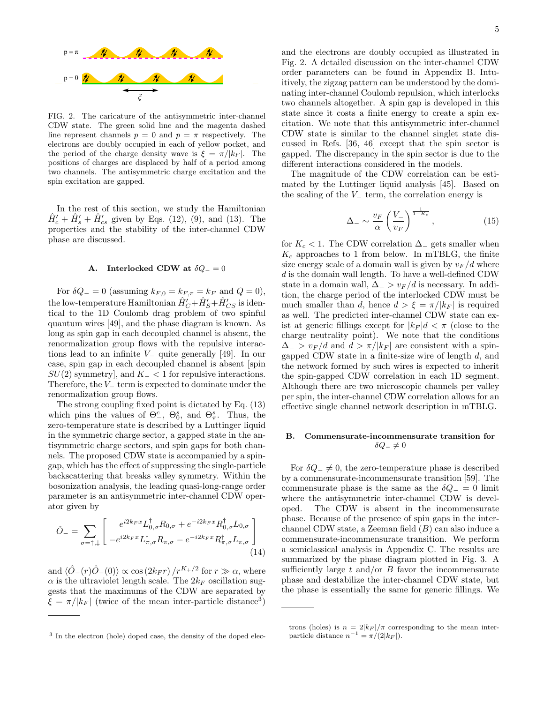

<span id="page-4-1"></span>FIG. 2. The caricature of the antisymmetric inter-channel CDW state. The green solid line and the magenta dashed line represent channels  $p = 0$  and  $p = \pi$  respectively. The electrons are doubly occupied in each of yellow pocket, and the period of the charge density wave is  $\xi = \pi/|k_F|$ . The positions of charges are displaced by half of a period among two channels. The antisymmetric charge excitation and the spin excitation are gapped.

In the rest of this section, we study the Hamiltonian  $\hat{H}'_c + \hat{H}'_s + \hat{H}'_{cs}$  given by Eqs. [\(12\)](#page-3-6), [\(9\)](#page-3-7), and [\(13\)](#page-3-8). The properties and the stability of the inter-channel CDW phase are discussed.

# <span id="page-4-3"></span>A. Interlocked CDW at  $\delta Q_-=0$

For  $\delta Q_-=0$  (assuming  $k_{F,0}=k_{F,\pi}=k_F$  and  $Q=0$ ), the low-temperature Hamiltonian  $\hat{H}'_C + \hat{H}'_S + \hat{H}'_{CS}$  is identical to the 1D Coulomb drag problem of two spinful quantum wires [\[49\]](#page-13-10), and the phase diagram is known. As long as spin gap in each decoupled channel is absent, the renormalization group flows with the repulsive interactions lead to an infinite  $V_-\$ quite generally [\[49\]](#page-13-10). In our case, spin gap in each decoupled channel is absent [spin  $SU(2)$  symmetry], and  $K<sub>-</sub> < 1$  for repulsive interactions. Therefore, the  $V_$  term is expected to dominate under the renormalization group flows.

The strong coupling fixed point is dictated by Eq. [\(13\)](#page-3-8) which pins the values of  $\Theta^c_-, \Theta^s_0$ , and  $\Theta^s_\pi$ . Thus, the zero-temperature state is described by a Luttinger liquid in the symmetric charge sector, a gapped state in the antisymmetric charge sectors, and spin gaps for both channels. The proposed CDW state is accompanied by a spingap, which has the effect of suppressing the single-particle backscattering that breaks valley symmetry. Within the bosonization analysis, the leading quasi-long-range order parameter is an antisymmetric inter-channel CDW operator given by

$$
\hat{O}_{-} = \sum_{\sigma=\uparrow,\downarrow} \left[ \begin{array}{c} e^{i2k_{F}x} L_{0,\sigma}^{\dagger} R_{0,\sigma} + e^{-i2k_{F}x} R_{0,\sigma}^{\dagger} L_{0,\sigma} \\ -e^{i2k_{F}x} L_{\pi,\sigma}^{\dagger} R_{\pi,\sigma} - e^{-i2k_{F}x} R_{\pi,\sigma}^{\dagger} L_{\pi,\sigma} \end{array} \right]
$$
\n(14)

and  $\langle \hat{O}_-(r)\hat{O}_-(0)\rangle \propto \cos(2k_F r)/r^{K_+/2}$  for  $r \gg \alpha$ , where  $\alpha$  is the ultraviolet length scale. The  $2k_F$  oscillation suggests that the maximums of the CDW are separated by  $\xi = \pi/|k_F|$  (twice of the mean inter-particle distance<sup>[3](#page-4-0)</sup>) and the electrons are doubly occupied as illustrated in Fig. [2.](#page-4-1) A detailed discussion on the inter-channel CDW order parameters can be found in Appendix [B.](#page-10-0) Intuitively, the zigzag pattern can be understood by the dominating inter-channel Coulomb repulsion, which interlocks two channels altogether. A spin gap is developed in this state since it costs a finite energy to create a spin excitation. We note that this antisymmetric inter-channel CDW state is similar to the channel singlet state discussed in Refs. [\[36,](#page-13-7) [46\]](#page-13-8) except that the spin sector is gapped. The discrepancy in the spin sector is due to the different interactions considered in the models.

The magnitude of the CDW correlation can be estimated by the Luttinger liquid analysis [\[45\]](#page-13-6). Based on the scaling of the  $V_$  term, the correlation energy is

$$
\Delta_{-} \sim \frac{v_F}{\alpha} \left(\frac{V_{-}}{v_F}\right)^{\frac{1}{1-K_c}},\tag{15}
$$

for  $K_c < 1$ . The CDW correlation  $\Delta_-\$  gets smaller when  $K_c$  approaches to 1 from below. In mTBLG, the finite size energy scale of a domain wall is given by  $v_F/d$  where d is the domain wall length. To have a well-defined CDW state in a domain wall,  $\Delta_{-} > v_F/d$  is necessary. In addition, the charge period of the interlocked CDW must be much smaller than d, hence  $d > \xi = \pi/|k_F|$  is required as well. The predicted inter-channel CDW state can exist at generic fillings except for  $|k_F|d < \pi$  (close to the charge neutrality point). We note that the conditions  $\Delta_{-}$  >  $v_F/d$  and  $d > \pi/|k_F|$  are consistent with a spingapped CDW state in a finite-size wire of length  $d$ , and the network formed by such wires is expected to inherit the spin-gapped CDW correlation in each 1D segment. Although there are two microscopic channels per valley per spin, the inter-channel CDW correlation allows for an effective single channel network description in mTBLG.

# B. Commensurate-incommensurate transition for  $\delta Q_-\neq 0$

<span id="page-4-2"></span>For  $\delta Q_-\neq 0$ , the zero-temperature phase is described by a commensurate-incommensurate transition [\[59\]](#page-13-16). The commensurate phase is the same as the  $\delta Q_$  = 0 limit where the antisymmetric inter-channel CDW is developed. The CDW is absent in the incommensurate phase. Because of the presence of spin gaps in the interchannel CDW state, a Zeeman field (B) can also induce a commensurate-incommensurate transition. We perform a semiclassical analysis in Appendix [C.](#page-10-1) The results are summarized by the phase diagram plotted in Fig. [3.](#page-5-1) A sufficiently large  $t$  and/or  $B$  favor the incommensurate phase and destabilize the inter-channel CDW state, but the phase is essentially the same for generic fillings. We

<span id="page-4-0"></span><sup>&</sup>lt;sup>3</sup> In the electron (hole) doped case, the density of the doped elec-

trons (holes) is  $n = 2|k_F|/\pi$  corresponding to the mean interparticle distance  $n^{-1} = \pi/(2|k_F|)$ .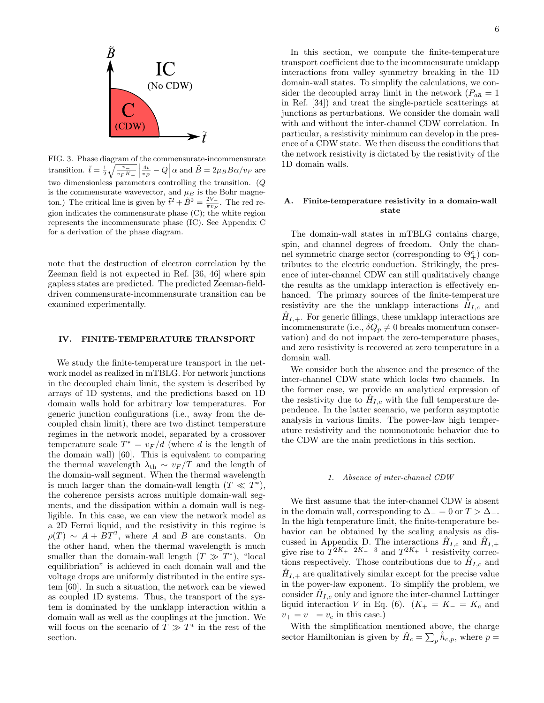

<span id="page-5-1"></span>FIG. 3. Phase diagram of the commensurate-incommensurate transition.  $\tilde{t} = \frac{1}{2} \sqrt{\frac{v_{-}}{v_{F} K_{-}}}$  $\frac{4t}{v_F} - Q \Big| \alpha$  and  $\tilde{B} = 2\mu_B B \alpha / v_F$  are two dimensionless parameters controlling the transition. (Q is the commensurate wavevector, and  $\mu_B$  is the Bohr magneton.) The critical line is given by  $\tilde{t}^2 + \tilde{B}^2 = \frac{2V_{-}}{\pi v_F}$ . The red region indicates the commensurate phase (C); the white region represents the incommensurate phase (IC). See Appendix [C](#page-10-1) for a derivation of the phase diagram.

note that the destruction of electron correlation by the Zeeman field is not expected in Ref. [\[36,](#page-13-7) [46\]](#page-13-8) where spin gapless states are predicted. The predicted Zeeman-fielddriven commensurate-incommensurate transition can be examined experimentally.

### <span id="page-5-0"></span>IV. FINITE-TEMPERATURE TRANSPORT

We study the finite-temperature transport in the network model as realized in mTBLG. For network junctions in the decoupled chain limit, the system is described by arrays of 1D systems, and the predictions based on 1D domain walls hold for arbitrary low temperatures. For generic junction configurations (i.e., away from the decoupled chain limit), there are two distinct temperature regimes in the network model, separated by a crossover temperature scale  $T^* = v_F/d$  (where d is the length of the domain wall) [\[60\]](#page-13-17). This is equivalent to comparing the thermal wavelength  $\lambda_{\text{th}} \sim v_F/T$  and the length of the domain-wall segment. When the thermal wavelength is much larger than the domain-wall length  $(T \ll T^*)$ , the coherence persists across multiple domain-wall segments, and the dissipation within a domain wall is negligible. In this case, we can view the network model as a 2D Fermi liquid, and the resistivity in this regime is  $\rho(T) \sim A + BT^2$ , where A and B are constants. On the other hand, when the thermal wavelength is much smaller than the domain-wall length  $(T \gg T^*)$ , "local equilibriation" is achieved in each domain wall and the voltage drops are uniformly distributed in the entire system [\[60\]](#page-13-17). In such a situation, the network can be viewed as coupled 1D systems. Thus, the transport of the system is dominated by the umklapp interaction within a domain wall as well as the couplings at the junction. We will focus on the scenario of  $T \gg T^*$  in the rest of the section.

In this section, we compute the finite-temperature transport coefficient due to the incommensurate umklapp interactions from valley symmetry breaking in the 1D domain-wall states. To simplify the calculations, we consider the decoupled array limit in the network  $(P_{a\bar{a}} = 1)$ in Ref. [\[34\]](#page-13-3)) and treat the single-particle scatterings at junctions as perturbations. We consider the domain wall with and without the inter-channel CDW correlation. In particular, a resistivity minimum can develop in the presence of a CDW state. We then discuss the conditions that the network resistivity is dictated by the resistivity of the 1D domain walls.

# A. Finite-temperature resistivity in a domain-wall state

The domain-wall states in mTBLG contains charge, spin, and channel degrees of freedom. Only the channel symmetric charge sector (corresponding to  $\Theta^c_+$ ) contributes to the electric conduction. Strikingly, the presence of inter-channel CDW can still qualitatively change the results as the umklapp interaction is effectively enhanced. The primary sources of the finite-temperature resistivity are the the umklapp interactions  $\hat{H}_{I,c}$  and  $\hat{H}_{I, +}$ . For generic fillings, these umklapp interactions are incommensurate (i.e.,  $\delta Q_p \neq 0$  breaks momentum conservation) and do not impact the zero-temperature phases, and zero resistivity is recovered at zero temperature in a domain wall.

We consider both the absence and the presence of the inter-channel CDW state which locks two channels. In the former case, we provide an analytical expression of the resistivity due to  $\hat{H}_{I,c}$  with the full temperature dependence. In the latter scenario, we perform asymptotic analysis in various limits. The power-law high temperature resistivity and the nonmonotonic behavior due to the CDW are the main predictions in this section.

### 1. Absence of inter-channel CDW

We first assume that the inter-channel CDW is absent in the domain wall, corresponding to  $\Delta_-=0$  or  $T>\Delta_-$ . In the high temperature limit, the finite-temperature behavior can be obtained by the scaling analysis as dis-cussed in Appendix [D.](#page-10-2) The interactions  $\hat{H}_{I,c}$  and  $\hat{H}_{I,+}$ <br>give rise to  $T^{2K_+ + 2K_- - 3}$  and  $T^{2K_+ - 1}$  resistivity corrections respectively. Those contributions due to  $\hat{H}_{I,c}$  and  $\hat{H}_{I,+}$  are qualitatively similar except for the precise value in the power-law exponent. To simplify the problem, we consider  $\hat{H}_{I,c}$  only and ignore the inter-channel Luttinger liquid interaction V in Eq. [\(6\)](#page-3-3).  $(K_{+} = K_{-} = K_{c}$  and  $v_+ = v_- = v_c$  in this case.)

With the simplification mentioned above, the charge sector Hamiltonian is given by  $\hat{H}_c = \sum_p \hat{h}_{c,p}$ , where  $p =$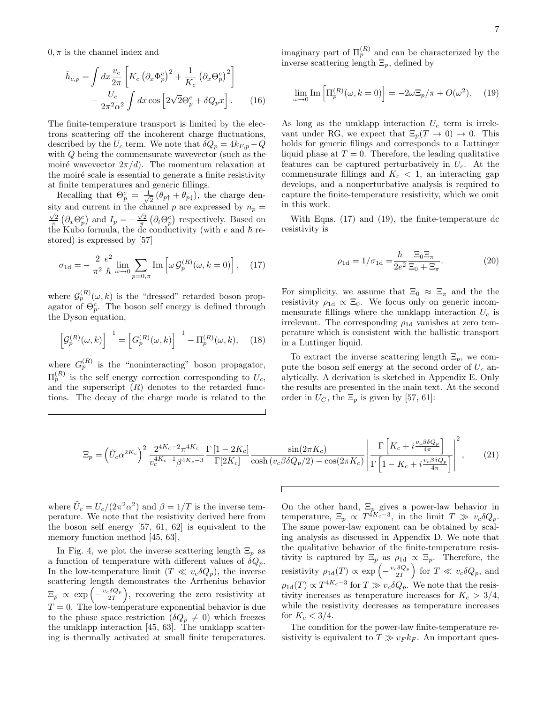$0, \pi$  is the channel index and

$$
\hat{h}_{c,p} = \int dx \frac{v_c}{2\pi} \left[ K_c \left( \partial_x \Phi_p^c \right)^2 + \frac{1}{K_c} \left( \partial_x \Theta_p^c \right)^2 \right] - \frac{U_c}{2\pi^2 \alpha^2} \int dx \cos \left[ 2\sqrt{2} \Theta_p^c + \delta Q_p x \right]. \tag{16}
$$

The finite-temperature transport is limited by the electrons scattering off the incoherent charge fluctuations, described by the  $U_c$  term. We note that  $\delta Q_p = 4k_{F,p} - Q$ with Q being the commensurate wavevector (such as the moiré wavevector  $2\pi/d$ . The momentum relaxation at the moiré scale is essential to generate a finite resistivity at finite temperatures and generic fillings.

Recalling that  $\Theta_p^c = \frac{1}{\sqrt{2}}$  $\frac{1}{2}(\theta_{p\uparrow}+\theta_{p\downarrow}),$  the charge density and current in the channel p are expressed by  $n_p =$  $\frac{\sqrt{2}}{\pi} \left( \partial_x \Theta_p^c \right)$  and  $I_p = -\frac{\sqrt{2}}{\pi} \left( \partial_t \Theta_p^c \right)$  respectively. Based on the Kubo formula, the dc conductivity (with e and  $\hbar$  restored) is expressed by [\[57\]](#page-13-18)

$$
\sigma_{1d} = -\frac{2}{\pi^2} \frac{e^2}{\hbar} \lim_{\omega \to 0} \sum_{p=0,\pi} \text{Im} \left[ \omega \mathcal{G}_p^{(R)}(\omega, k=0) \right], \quad (17)
$$

where  $\mathcal{G}_{p}^{(R)}(\omega,k)$  is the "dressed" retarded boson propagator of  $\Theta_p^c$ . The boson self energy is defined through the Dyson equation,

$$
\left[\mathcal{G}_p^{(R)}(\omega,k)\right]^{-1} = \left[G_p^{(R)}(\omega,k)\right]^{-1} - \Pi_p^{(R)}(\omega,k),\quad(18)
$$

where  $G_p^{(R)}$  is the "noninteracting" boson propagator,  $\Pi_p^{(R)}$  is the self energy correction corresponding to  $U_c$ , and the superscript  $(R)$  denotes to the retarded functions. The decay of the charge mode is related to the

imaginary part of  $\Pi_p^{(R)}$  and can be characterized by the inverse scattering length  $\Xi_p$ , defined by

<span id="page-6-1"></span>
$$
\lim_{\omega \to 0} \text{Im} \left[ \Pi_p^{(R)}(\omega, k=0) \right] = -2\omega \Xi_p / \pi + O(\omega^2). \tag{19}
$$

<span id="page-6-3"></span>As long as the umklapp interaction  $U_c$  term is irrelevant under RG, we expect that  $\Xi_p(T \to 0) \to 0$ . This holds for generic filings and corresponds to a Luttinger liquid phase at  $T = 0$ . Therefore, the leading qualitative features can be captured perturbatively in  $U_c$ . At the commensurate fillings and  $K_c < 1$ , an interacting gap develops, and a nonperturbative analysis is required to capture the finite-temperature resistivity, which we omit in this work.

With Eqns. [\(17\)](#page-6-0) and [\(19\)](#page-6-1), the finite-temperature dc resistivity is

$$
\rho_{1d} = 1/\sigma_{1d} = \frac{h}{2e^2} \frac{\Xi_0 \Xi_\pi}{\Xi_0 + \Xi_\pi}.
$$
 (20)

<span id="page-6-0"></span>For simplicity, we assume that  $\Xi_0 \approx \Xi_{\pi}$  and the the resistivity  $\rho_{1d} \propto \Xi_0$ . We focus only on generic incommensurate fillings where the umklapp interaction  $U_c$  is irrelevant. The corresponding  $\rho_{1d}$  vanishes at zero temperature which is consistent with the ballistic transport in a Luttinger liquid.

<span id="page-6-4"></span>To extract the inverse scattering length  $\Xi_p$ , we compute the boson self energy at the second order of  $U_c$  analytically. A derivation is sketched in Appendix [E.](#page-11-0) Only the results are presented in the main text. At the second order in  $U_C$ , the  $\Xi_p$  is given by [\[57,](#page-13-18) [61\]](#page-13-19):

$$
\Xi_p = \left(\tilde{U}_c \alpha^{2K_c}\right)^2 \frac{2^{4K_c - 2} \pi^{4K_c}}{v_c^{4K_c - 1} \beta^{4K_c - 3}} \frac{\Gamma\left[1 - 2K_c\right]}{\Gamma[2K_c]} \frac{\sin(2\pi K_c)}{\cosh(v_c \beta \delta Q_p/2) - \cos(2\pi K_c)} \left|\frac{\Gamma\left[K_c + i\frac{v_c \beta \delta Q_p}{4\pi}\right]}{\Gamma\left[1 - K_c + i\frac{v_c \beta \delta Q_p}{4\pi}\right]}\right|^2, \tag{21}
$$

where  $\tilde{U}_c = U_c/(2\pi^2\alpha^2)$  and  $\beta = 1/T$  is the inverse temperature. We note that the resistivity derived here from the boson self energy [\[57,](#page-13-18) [61,](#page-13-19) [62\]](#page-13-20) is equivalent to the memory function method [\[45,](#page-13-6) [63\]](#page-13-21).

In Fig. [4,](#page-7-0) we plot the inverse scattering length  $\Xi_p$  as a function of temperature with different values of  $\delta Q_p$ . In the low-temperature limit  $(T \ll v_c \delta Q_p)$ , the inverse scattering length demonstrates the Arrhenius behavior  $\Xi_p \propto \exp\left(-\frac{v_c \delta Q_p}{2T}\right)$ , recovering the zero resistivity at  $T = 0$ . The low-temperature exponential behavior is due to the phase space restriction  $(\delta Q_p \neq 0)$  which freezes the umklapp interaction [\[45,](#page-13-6) [63\]](#page-13-21). The umklapp scattering is thermally activated at small finite temperatures.

<span id="page-6-2"></span>On the other hand,  $\Xi_p$  gives a power-law behavior in temperature,  $\Xi_p \propto T^{4K_c-3}$ , in the limit  $T \gg v_c \delta Q_p$ . The same power-law exponent can be obtained by scaling analysis as discussed in Appendix [D.](#page-10-2) We note that the qualitative behavior of the finite-temperature resistivity is captured by  $\Xi_p$  as  $\rho_{1d} \propto \Xi_p$ . Therefore, the resistivity  $\rho_{1d}(T) \propto \exp\left(-\frac{v_c \delta Q_p}{2T}\right)$  for  $T \ll v_c \delta Q_p$ , and  $\rho_{1d}(T) \propto T^{4K_c-3}$  for  $T \gg v_c \delta Q_p$ . We note that the resistivity increases as temperature increases for  $K_c > 3/4$ , while the resistivity decreases as temperature increases for  $K_c < 3/4$ .

The condition for the power-law finite-temperature resistivity is equivalent to  $T \gg v_F k_F$ . An important ques-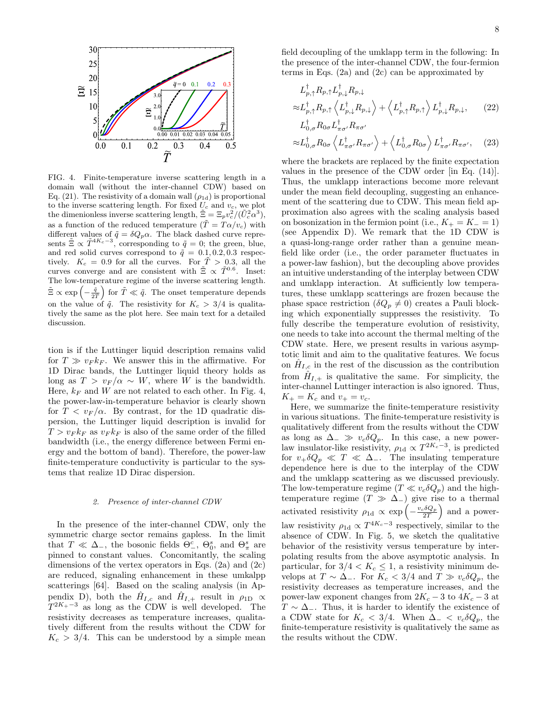

<span id="page-7-0"></span>FIG. 4. Finite-temperature inverse scattering length in a domain wall (without the inter-channel CDW) based on Eq. [\(21\)](#page-6-2). The resistivity of a domain wall  $(\rho_{1d})$  is proportional to the inverse scattering length. For fixed  $U_c$  and  $v_c$ , we plot the dimenionless inverse scattering length,  $\tilde{\Xi} = \Xi_p v_c^2 / (\tilde{U}_c^2 \alpha^3)$ , as a function of the reduced temperature  $(\tilde{T} = T\alpha/v_c)$  with different values of  $\tilde{q} = \delta Q_p \alpha$ . The black dashed curve represents  $\tilde{\Xi} \propto \tilde{T}^{4K_c-3}$ , corresponding to  $\tilde{q} = 0$ ; the green, blue, and red solid curves correspond to  $\tilde{q} = 0.1, 0.2, 0.3$  respectively.  $K_c = 0.9$  for all the curves. For  $\overline{T} > 0.3$ , all the curves converge and are consistent with  $\tilde{\Xi} \propto \tilde{T}^{0.6}$ . Inset: The low-temperature regime of the inverse scattering length.  $\tilde{\Xi} \propto \exp\left(-\frac{\tilde{q}}{2\tilde{T}}\right)$  for  $\tilde{T} \ll \tilde{q}$ . The onset temperature depends on the value of  $\tilde{q}$ . The resistivity for  $K_c > 3/4$  is qualitatively the same as the plot here. See main text for a detailed discussion.

tion is if the Luttinger liquid description remains valid for  $T \gg v_F k_F$ . We answer this in the affirmative. For 1D Dirac bands, the Luttinger liquid theory holds as long as  $T > v_F/\alpha \sim W$ , where W is the bandwidth. Here,  $k_F$  and W are not related to each other. In Fig. [4,](#page-7-0) the power-law-in-temperature behavior is clearly shown for  $T < v_F/\alpha$ . By contrast, for the 1D quadratic dispersion, the Luttinger liquid description is invalid for  $T > v_F k_F$  as  $v_F k_F$  is also of the same order of the filled bandwidth (i.e., the energy difference between Fermi energy and the bottom of band). Therefore, the power-law finite-temperature conductivity is particular to the systems that realize 1D Dirac dispersion.

### 2. Presence of inter-channel CDW

In the presence of the inter-channel CDW, only the symmetric charge sector remains gapless. In the limit that  $T \ll \Delta_{-}$ , the bosonic fields  $\Theta_{-}^{c}$ ,  $\Theta_{0}^{s}$ , and  $\Theta_{\pi}^{s}$  are pinned to constant values. Concomitantly, the scaling dimensions of the vertex operators in Eqs.  $(2a)$  and  $(2c)$ are reduced, signaling enhancement in these umkalpp scatterings [\[64\]](#page-13-22). Based on the scaling analysis (in Ap-pendix [D\)](#page-10-2), both the  $\hat{H}_{I,c}$  and  $\hat{H}_{I,+}$  result in  $\rho_{1D} \propto$  $T^{2K_{+}-3}$  as long as the CDW is well developed. The resistivity decreases as temperature increases, qualitatively different from the results without the CDW for  $K_c > 3/4$ . This can be understood by a simple mean field decoupling of the umklapp term in the following: In the presence of the inter-channel CDW, the four-fermion terms in Eqs.  $(2a)$  and  $(2c)$  can be approximated by

$$
L_{p,\uparrow}^{\dagger} R_{p,\uparrow} L_{p,\downarrow}^{\dagger} R_{p,\downarrow}
$$
  
\n
$$
\approx L_{p,\uparrow}^{\dagger} R_{p,\uparrow} \left\langle L_{p,\downarrow}^{\dagger} R_{p,\downarrow} \right\rangle + \left\langle L_{p,\uparrow}^{\dagger} R_{p,\uparrow} \right\rangle L_{p,\downarrow}^{\dagger} R_{p,\downarrow}, \qquad (22)
$$
  
\n
$$
L_{0,\sigma}^{\dagger} R_{0\sigma} L_{\pi\sigma'}^{\dagger} R_{\pi\sigma'}
$$

$$
\approx L_{0,\sigma}^{\dagger} R_{0\sigma} \left\langle L_{\pi\sigma'}^{\dagger} R_{\pi\sigma'} \right\rangle + \left\langle L_{0,\sigma}^{\dagger} R_{0\sigma} \right\rangle L_{\pi\sigma'}^{\dagger} R_{\pi\sigma'}, \quad (23)
$$

where the brackets are replaced by the finite expectation values in the presence of the CDW order [in Eq. [\(14\)](#page-4-2)]. Thus, the umklapp interactions become more relevant under the mean field decoupling, suggesting an enhancement of the scattering due to CDW. This mean field approximation also agrees with the scaling analysis based on bosonization in the fermion point (i.e.,  $K_{+} = K_{-} = 1$ ) (see Appendix [D\)](#page-10-2). We remark that the 1D CDW is a quasi-long-range order rather than a genuine meanfield like order (i.e., the order parameter fluctuates in a power-law fashion), but the decoupling above provides an intuitive understanding of the interplay between CDW and umklapp interaction. At sufficiently low temperatures, these umklapp scatterings are frozen because the phase space restriction  $(\delta Q_p \neq 0)$  creates a Pauli blocking which exponentially suppresses the resistivity. To fully describe the temperature evolution of resistivity, one needs to take into account the thermal melting of the CDW state. Here, we present results in various asymptotic limit and aim to the qualitative features. We focus on  $\hat{H}_{I,c}$  in the rest of the discussion as the contribution from  $\hat{H}_{I,+}$  is qualitative the same. For simplicity, the inter-channel Luttinger interaction is also ignored. Thus,  $K_{+} = K_{c}$  and  $v_{+} = v_{c}$ .

Here, we summarize the finite-temperature resistivity in various situations. The finite-temperature resistivity is qualitatively different from the results without the CDW as long as  $\Delta_-\gg v_c\delta Q_p$ . In this case, a new powerlaw insulator-like resistivity,  $\rho_{1d} \propto T^{2K_c-3}$ , is predicted for  $v_+\delta Q_p \ll T \ll \Delta_-$ . The insulating temperature dependence here is due to the interplay of the CDW and the umklapp scattering as we discussed previously. The low-temperature regime  $(T \ll v_c \delta Q_p)$  and the hightemperature regime  $(T \gg \Delta_{-})$  give rise to a thermal activated resistivity  $\rho_{1d} \propto \exp\left(-\frac{v_c \delta Q_p}{2T}\right)$  and a powerlaw resistivity  $\rho_{1d} \propto T^{4K_c-3}$  respectively, similar to the absence of CDW. In Fig. [5,](#page-8-1) we sketch the qualitative behavior of the resistivity versus temperature by interpolating results from the above asymptotic analysis. In particular, for  $3/4 < K_c \leq 1$ , a resistivity minimum develops at  $T \sim \Delta_-$ . For  $K_c < 3/4$  and  $T \gg v_c \delta Q_p$ , the resistivity decreases as temperature increases, and the power-law exponent changes from  $2K_c - 3$  to  $4K_c - 3$  at  $T \sim \Delta_{-}$ . Thus, it is harder to identify the existence of a CDW state for  $K_c < 3/4$ . When  $\Delta_- < v_c \delta Q_p$ , the finite-temperature resistivity is qualitatively the same as the results without the CDW.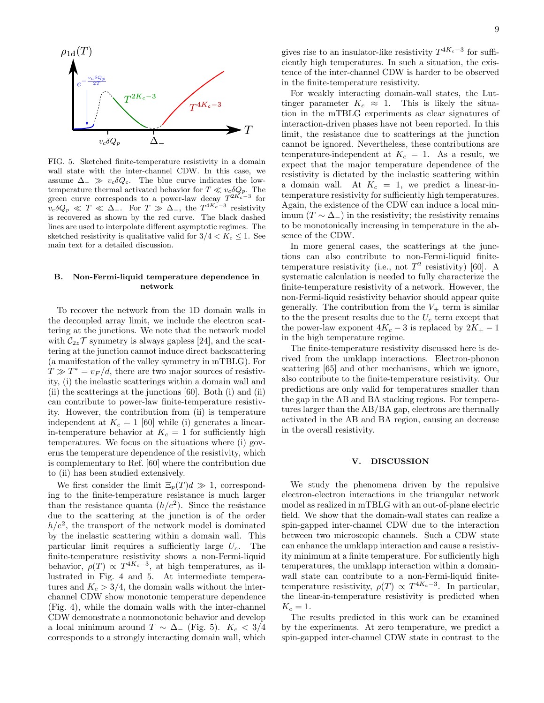

<span id="page-8-1"></span>FIG. 5. Sketched finite-temperature resistivity in a domain wall state with the inter-channel CDW. In this case, we assume  $\Delta_-\gg v_c\delta Q_c$ . The blue curve indicates the lowtemperature thermal activated behavior for  $T \ll v_c \delta Q_p$ . The green curve corresponds to a power-law decay  $T^{2K_c-3}$  for  $v_c \delta Q_p \ll T \ll \Delta_-$ . For  $T \gg \Delta_-$ , the  $T^{4K_c-3}$  resistivity is recovered as shown by the red curve. The black dashed lines are used to interpolate different asymptotic regimes. The sketched resistivity is qualitative valid for  $3/4 < K_c \leq 1$ . See main text for a detailed discussion.

# B. Non-Fermi-liquid temperature dependence in network

To recover the network from the 1D domain walls in the decoupled array limit, we include the electron scattering at the junctions. We note that the network model with  $C_{2z}\mathcal{T}$  symmetry is always gapless [\[24\]](#page-12-10), and the scattering at the junction cannot induce direct backscattering (a manifestation of the valley symmetry in mTBLG). For  $T \gg T^* = v_F/d$ , there are two major sources of resistivity, (i) the inelastic scatterings within a domain wall and (ii) the scatterings at the junctions [\[60\]](#page-13-17). Both (i) and (ii) can contribute to power-law finite-temperature resistivity. However, the contribution from (ii) is temperature independent at  $K_c = 1$  [\[60\]](#page-13-17) while (i) generates a linearin-temperature behavior at  $K_c = 1$  for sufficiently high temperatures. We focus on the situations where (i) governs the temperature dependence of the resistivity, which is complementary to Ref. [\[60\]](#page-13-17) where the contribution due to (ii) has been studied extensively.

We first consider the limit  $\Xi_p(T)d \gg 1$ , corresponding to the finite-temperature resistance is much larger than the resistance quanta  $(h/e^2)$ . Since the resistance due to the scattering at the junction is of the order  $h/e<sup>2</sup>$ , the transport of the network model is dominated by the inelastic scattering within a domain wall. This particular limit requires a sufficiently large  $U_c$ . The finite-temperature resistivity shows a non-Fermi-liquid behavior,  $\rho(T) \propto T^{4K_c-3}$ , at high temperatures, as illustrated in Fig. [4](#page-7-0) and [5.](#page-8-1) At intermediate temperatures and  $K_c > 3/4$ , the domain walls without the interchannel CDW show monotonic temperature dependence (Fig. [4\)](#page-7-0), while the domain walls with the inter-channel CDW demonstrate a nonmonotonic behavior and develop a local minimum around  $T \sim \Delta_{-}$  (Fig. [5\)](#page-8-1).  $K_c < 3/4$ corresponds to a strongly interacting domain wall, which

gives rise to an insulator-like resistivity  $T^{4K_c-3}$  for sufficiently high temperatures. In such a situation, the existence of the inter-channel CDW is harder to be observed in the finite-temperature resistivity.

For weakly interacting domain-wall states, the Luttinger parameter  $K_c \approx 1$ . This is likely the situation in the mTBLG experiments as clear signatures of interaction-driven phases have not been reported. In this limit, the resistance due to scatterings at the junction cannot be ignored. Nevertheless, these contributions are temperature-independent at  $K_c = 1$ . As a result, we expect that the major temperature dependence of the resistivity is dictated by the inelastic scattering within a domain wall. At  $K_c = 1$ , we predict a linear-intemperature resistivity for sufficiently high temperatures. Again, the existence of the CDW can induce a local minimum  $(T \sim \Delta_{-})$  in the resistivity; the resistivity remains to be monotonically increasing in temperature in the absence of the CDW.

In more general cases, the scatterings at the junctions can also contribute to non-Fermi-liquid finitetemperature resistivity (i.e., not  $T^2$  resistivity) [\[60\]](#page-13-17). A systematic calculation is needed to fully characterize the finite-temperature resistivity of a network. However, the non-Fermi-liquid resistivity behavior should appear quite generally. The contribution from the  $V_+$  term is similar to the the present results due to the  $U_c$  term except that the power-law exponent  $4K_c - 3$  is replaced by  $2K_+ - 1$ in the high temperature regime.

The finite-temperature resistivity discussed here is derived from the umklapp interactions. Electron-phonon scattering [\[65\]](#page-13-23) and other mechanisms, which we ignore, also contribute to the finite-temperature resistivity. Our predictions are only valid for temperatures smaller than the gap in the AB and BA stacking regions. For temperatures larger than the AB/BA gap, electrons are thermally activated in the AB and BA region, causing an decrease in the overall resistivity.

### <span id="page-8-0"></span>V. DISCUSSION

We study the phenomena driven by the repulsive electron-electron interactions in the triangular network model as realized in mTBLG with an out-of-plane electric field. We show that the domain-wall states can realize a spin-gapped inter-channel CDW due to the interaction between two microscopic channels. Such a CDW state can enhance the umklapp interaction and cause a resistivity minimum at a finite temperature. For sufficiently high temperatures, the umklapp interaction within a domainwall state can contribute to a non-Fermi-liquid finitetemperature resistivity,  $\rho(T) \propto T^{4K_c-3}$ . In particular, the linear-in-temperature resistivity is predicted when  $K_c = 1$ .

The results predicted in this work can be examined by the experiments. At zero temperature, we predict a spin-gapped inter-channel CDW state in contrast to the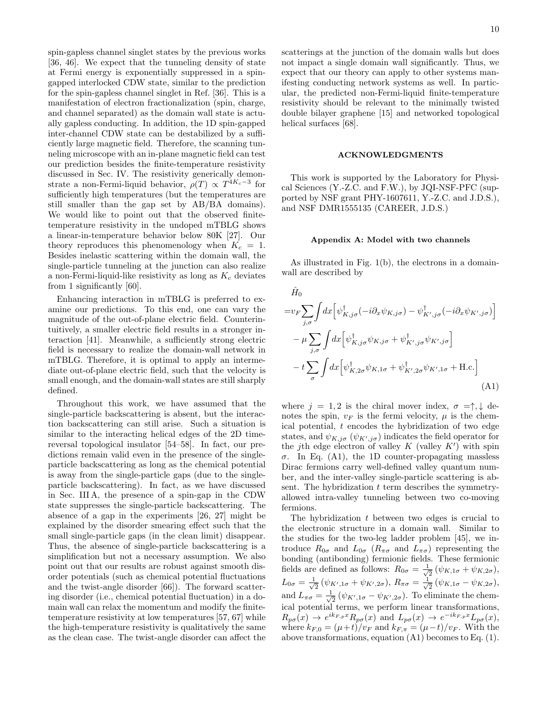spin-gapless channel singlet states by the previous works [\[36,](#page-13-7) [46\]](#page-13-8). We expect that the tunneling density of state at Fermi energy is exponentially suppressed in a spingapped interlocked CDW state, similar to the prediction for the spin-gapless channel singlet in Ref. [\[36\]](#page-13-7). This is a manifestation of electron fractionalization (spin, charge, and channel separated) as the domain wall state is actually gapless conducting. In addition, the 1D spin-gapped inter-channel CDW state can be destabilized by a sufficiently large magnetic field. Therefore, the scanning tunneling microscope with an in-plane magnetic field can test our prediction besides the finite-temperature resistivity discussed in Sec. [IV.](#page-5-0) The resistivity generically demonstrate a non-Fermi-liquid behavior,  $\rho(T) \propto T^{4K_c-3}$  for sufficiently high temperatures (but the temperatures are still smaller than the gap set by AB/BA domains). We would like to point out that the observed finitetemperature resistivity in the undoped mTBLG shows a linear-in-temperature behavior below 80K [\[27\]](#page-12-11). Our theory reproduces this phenomenology when  $K_c = 1$ . Besides inelastic scattering within the domain wall, the single-particle tunneling at the junction can also realize a non-Fermi-liquid-like resistivity as long as  $K_c$  deviates from 1 significantly [\[60\]](#page-13-17).

Enhancing interaction in mTBLG is preferred to examine our predictions. To this end, one can vary the magnitude of the out-of-plane electric field. Counterintuitively, a smaller electric field results in a stronger interaction [\[41\]](#page-13-24). Meanwhile, a sufficiently strong electric field is necessary to realize the domain-wall network in mTBLG. Therefore, it is optimal to apply an intermediate out-of-plane electric field, such that the velocity is small enough, and the domain-wall states are still sharply defined.

Throughout this work, we have assumed that the single-particle backscattering is absent, but the interaction backscattering can still arise. Such a situation is similar to the interacting helical edges of the 2D timereversal topological insulator [\[54](#page-13-14)[–58\]](#page-13-15). In fact, our predictions remain valid even in the presence of the singleparticle backscattering as long as the chemical potential is away from the single-particle gaps (due to the singleparticle backscattering). In fact, as we have discussed in Sec. [III A,](#page-4-3) the presence of a spin-gap in the CDW state suppresses the single-particle backscattering. The absence of a gap in the experiments [\[26,](#page-12-12) [27\]](#page-12-11) might be explained by the disorder smearing effect such that the small single-particle gaps (in the clean limit) disappear. Thus, the absence of single-particle backscattering is a simplification but not a necessary assumption. We also point out that our results are robust against smooth disorder potentials (such as chemical potential fluctuations and the twist-angle disorder [\[66\]](#page-13-25)). The forward scattering disorder (i.e., chemical potential fluctuation) in a domain wall can relax the momentum and modify the finitetemperature resistivity at low temperatures [\[57,](#page-13-18) [67\]](#page-13-26) while the high-temperature resistivity is qualitatively the same as the clean case. The twist-angle disorder can affect the

scatterings at the junction of the domain walls but does not impact a single domain wall significantly. Thus, we expect that our theory can apply to other systems manifesting conducting network systems as well. In particular, the predicted non-Fermi-liquid finite-temperature resistivity should be relevant to the minimally twisted double bilayer graphene [\[15\]](#page-12-13) and networked topological helical surfaces [\[68\]](#page-13-27).

# ACKNOWLEDGMENTS

This work is supported by the Laboratory for Physical Sciences (Y.-Z.C. and F.W.), by JQI-NSF-PFC (supported by NSF grant PHY-1607611, Y.-Z.C. and J.D.S.), and NSF DMR1555135 (CAREER, J.D.S.)

# <span id="page-9-0"></span>Appendix A: Model with two channels

As illustrated in Fig. [1\(](#page-0-1)b), the electrons in a domainwall are described by

$$
\hat{H}_0
$$
\n
$$
= v_F \sum_{j,\sigma} \int dx \left[ \psi_{K,j\sigma}^{\dagger}(-i\partial_x \psi_{K,j\sigma}) - \psi_{K',j\sigma}^{\dagger}(-i\partial_x \psi_{K',j\sigma}) \right]
$$
\n
$$
- \mu \sum_{j,\sigma} \int dx \left[ \psi_{K,j\sigma}^{\dagger} \psi_{K,j\sigma} + \psi_{K',j\sigma}^{\dagger} \psi_{K',j\sigma} \right]
$$
\n
$$
- t \sum_{\sigma} \int dx \left[ \psi_{K,2\sigma}^{\dagger} \psi_{K,1\sigma} + \psi_{K',2\sigma}^{\dagger} \psi_{K',1\sigma} + \text{H.c.} \right]
$$
\n(A1)

<span id="page-9-1"></span>where  $j = 1, 2$  is the chiral mover index,  $\sigma = \uparrow, \downarrow$  denotes the spin,  $v_F$  is the fermi velocity,  $\mu$  is the chemical potential, t encodes the hybridization of two edge states, and  $\psi_{K,j\sigma}$  ( $\psi_{K',j\sigma}$ ) indicates the field operator for the jth edge electron of valley  $K$  (valley  $K'$ ) with spin σ. In Eq. [\(A1\)](#page-9-1), the 1D counter-propagating massless Dirac fermions carry well-defined valley quantum number, and the inter-valley single-particle scattering is absent. The hybridization  $t$  term describes the symmetryallowed intra-valley tunneling between two co-moving fermions.

The hybridization  $t$  between two edges is crucial to the electronic structure in a domain wall. Similar to the studies for the two-leg ladder problem [\[45\]](#page-13-6), we introduce  $R_{0\sigma}$  and  $L_{0\sigma}$  ( $R_{\pi\sigma}$  and  $L_{\pi\sigma}$ ) representing the bonding (antibonding) fermionic fields. These fermionic fields are defined as follows:  $R_{0\sigma} = \frac{1}{\sqrt{2}}$  $\frac{1}{2}(\psi_{K,1\sigma}+\psi_{K,2\sigma}),$  $L_{0\sigma} = \frac{1}{\sqrt{2}}$  $\frac{1}{2}\left( \psi_{K^{\prime},1\sigma}+\psi_{K^{\prime},2\sigma}\right) ,\,R_{\pi\sigma}=\frac{1}{\sqrt{\Lambda}}$  $\frac{1}{2}(\psi_{K,1\sigma}-\psi_{K,2\sigma}),$ and  $L_{\pi\sigma} = \frac{1}{\sqrt{2}}$  $\frac{1}{2}(\psi_{K',1\sigma}-\psi_{K',2\sigma})$ . To eliminate the chemical potential terms, we perform linear transformations,  $R_{p\sigma}(x) \to e^{ik_{F,p}x} R_{p\sigma}(x)$  and  $L_{p\sigma}(x) \to e^{-ik_{F,p}x} L_{p\sigma}(x)$ , where  $k_{F,0} = (\mu + t)/v_F$  and  $k_{F,\pi} = (\mu - t)/v_F$ . With the above transformations, equation [\(A1\)](#page-9-1) becomes to Eq. [\(1\)](#page-1-1).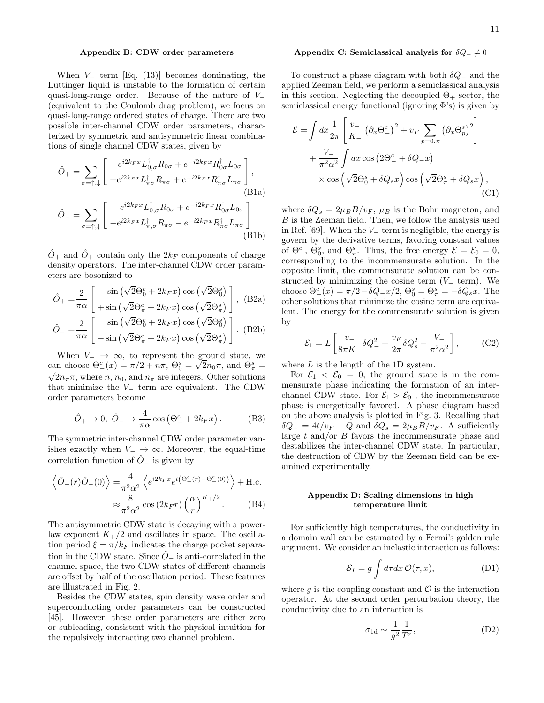### <span id="page-10-0"></span>Appendix B: CDW order parameters

When  $V_$  term [Eq. [\(13\)](#page-3-8)] becomes dominating, the Luttinger liquid is unstable to the formation of certain quasi-long-range order. Because of the nature of  $V_-\$ (equivalent to the Coulomb drag problem), we focus on quasi-long-range ordered states of charge. There are two possible inter-channel CDW order parameters, characterized by symmetric and antisymmetric linear combinations of single channel CDW states, given by

$$
\hat{O}_{+} = \sum_{\sigma=\uparrow,\downarrow} \left[ \begin{array}{c} e^{i2k_{F}x} L_{0,\sigma}^{\dagger} R_{0\sigma} + e^{-i2k_{F}x} R_{0\sigma}^{\dagger} L_{0\sigma} \\ + e^{i2k_{F}x} L_{\pi\sigma}^{\dagger} R_{\pi\sigma} + e^{-i2k_{F}x} R_{\pi\sigma}^{\dagger} L_{\pi\sigma} \end{array} \right],
$$
\n
$$
\hat{O}_{-} = \sum_{\sigma=\uparrow,\downarrow} \left[ \begin{array}{c} e^{i2k_{F}x} L_{0,\sigma}^{\dagger} R_{0\sigma} + e^{-i2k_{F}x} R_{0\sigma}^{\dagger} L_{0\sigma} \\ -e^{i2k_{F}x} L_{\pi,\sigma}^{\dagger} R_{\pi\sigma} - e^{-i2k_{F}x} R_{\pi\sigma}^{\dagger} L_{\pi\sigma} \end{array} \right].
$$
\n(B1b)

 $\hat{O}_+$  and  $\hat{O}_+$  contain only the  $2k_F$  components of charge density operators. The inter-channel CDW order parameters are bosonized to

$$
\hat{O}_{+} = \frac{2}{\pi \alpha} \left[ \begin{array}{c} \sin(\sqrt{2} \Theta_0^c + 2k_F x) \cos(\sqrt{2} \Theta_0^s) \\ + \sin(\sqrt{2} \Theta_\pi^c + 2k_F x) \cos(\sqrt{2} \Theta_\pi^s) \end{array} \right], \text{ (B2a)}
$$

$$
\hat{O}_{-} = \frac{2}{\pi \alpha} \left[ \frac{\sin \left( \sqrt{2} \Theta_0^c + 2k_F x \right) \cos \left( \sqrt{2} \Theta_0^s \right)}{-\sin \left( \sqrt{2} \Theta_\pi^c + 2k_F x \right) \cos \left( \sqrt{2} \Theta_\pi^s \right)} \right].
$$
 (B2b)

When  $V_-\to\infty$ , to represent the ground state, we can choose  $\Theta^c_-(x) = \pi/2 + n\pi$ ,  $\Theta^s_0 = \sqrt{2n_0\pi}$ , and  $\Theta^s_\pi =$  $\sqrt{2}n_{\pi}\pi$ , where n,  $n_0$ , and  $n_{\pi}$  are integers. Other solutions that minimize the  $V_$  term are equivalent. The CDW order parameters become

$$
\hat{O}_{+} \to 0, \ \hat{O}_{-} \to \frac{4}{\pi \alpha} \cos \left(\Theta_{+}^{c} + 2k_{F}x\right). \tag{B3}
$$

The symmetric inter-channel CDW order parameter vanishes exactly when  $V_-\rightarrow\infty$ . Moreover, the equal-time correlation function of  $\hat{O}$ <sub>−</sub> is given by

$$
\left\langle \hat{O}_{-}(r)\hat{O}_{-}(0)\right\rangle = \frac{4}{\pi^{2}\alpha^{2}}\left\langle e^{i2k_{F}x}e^{i\left(\Theta_{+}^{c}(r)-\Theta_{+}^{c}(0)\right)}\right\rangle + \text{H.c.}
$$

$$
\approx \frac{8}{\pi^{2}\alpha^{2}}\cos\left(2k_{F}r\right)\left(\frac{\alpha}{r}\right)^{K+}/^{2}.\tag{B4}
$$

The antisymmetric CDW state is decaying with a powerlaw exponent  $K_{+}/2$  and oscillates in space. The oscillation period  $\xi = \pi/k_F$  indicates the charge pocket separation in the CDW state. Since  $\hat{O}_-$  is anti-correlated in the channel space, the two CDW states of different channels are offset by half of the oscillation period. These features are illustrated in Fig. [2.](#page-4-1)

Besides the CDW states, spin density wave order and superconducting order parameters can be constructed [\[45\]](#page-13-6). However, these order parameters are either zero or subleading, consistent with the physical intuition for the repulsively interacting two channel problem.

### <span id="page-10-1"></span>Appendix C: Semiclassical analysis for  $\delta Q_-\neq 0$

To construct a phase diagram with both  $\delta Q_-\,$  and the applied Zeeman field, we perform a semiclassical analysis in this section. Neglecting the decoupled  $\Theta_+$  sector, the semiclassical energy functional (ignoring  $\Phi$ 's) is given by

$$
\mathcal{E} = \int dx \frac{1}{2\pi} \left[ \frac{v_{-}}{K_{-}} \left( \partial_{x} \Theta_{-}^{c} \right)^{2} + v_{F} \sum_{p=0.\pi} \left( \partial_{x} \Theta_{p}^{s} \right)^{2} \right] + \frac{V_{-}}{\pi^{2} \alpha^{2}} \int dx \cos \left( 2\Theta_{-}^{c} + \delta Q_{-} x \right) \times \cos \left( \sqrt{2} \Theta_{0}^{s} + \delta Q_{s} x \right) \cos \left( \sqrt{2} \Theta_{\pi}^{s} + \delta Q_{s} x \right), \tag{C1}
$$

where  $\delta Q_s = 2\mu_B B/v_F$ ,  $\mu_B$  is the Bohr magneton, and B is the Zeeman field. Then, we follow the analysis used in Ref. [\[69\]](#page-13-28). When the  $V_$  term is negligible, the energy is govern by the derivative terms, favoring constant values of  $\Theta^c_-$ ,  $\Theta^s_0$ , and  $\Theta^s_\pi$ . Thus, the free energy  $\mathcal{E} = \mathcal{E}_0 = 0$ , corresponding to the incommensurate solution. In the opposite limit, the commensurate solution can be constructed by minimizing the cosine term  $(V_$  term). We choose  $\Theta_{-}^{c}(x) = \pi/2 - \delta Q_{-}x/2$ ,  $\Theta_{0}^{s} = \Theta_{\pi}^{s} = -\delta Q_{s}x$ . The other solutions that minimize the cosine term are equivalent. The energy for the commensurate solution is given by

$$
\mathcal{E}_1 = L \left[ \frac{v_-}{8\pi K_-} \delta Q_-^2 + \frac{v_F}{2\pi} \delta Q_s^2 - \frac{V_-}{\pi^2 \alpha^2} \right],\tag{C2}
$$

where  $L$  is the length of the 1D system.

For  $\mathcal{E}_1 < \mathcal{E}_0 = 0$ , the ground state is in the commensurate phase indicating the formation of an interchannel CDW state. For  $\mathcal{E}_1 > \mathcal{E}_0$ , the incommensurate phase is energetically favored. A phase diagram based on the above analysis is plotted in Fig. [3.](#page-5-1) Recalling that  $\delta Q_$  = 4t/v<sub>F</sub> – Q and  $\delta Q_s = 2\mu_B B/v_F$ . A sufficiently large  $t$  and/or  $B$  favors the incommensurate phase and destabilizes the inter-channel CDW state. In particular, the destruction of CDW by the Zeeman field can be examined experimentally.

### <span id="page-10-2"></span>Appendix D: Scaling dimensions in high temperature limit

For sufficiently high temperatures, the conductivity in a domain wall can be estimated by a Fermi's golden rule argument. We consider an inelastic interaction as follows:

$$
S_I = g \int d\tau dx \, \mathcal{O}(\tau, x), \tag{D1}
$$

where  $g$  is the coupling constant and  $\mathcal O$  is the interaction operator. At the second order perturbation theory, the conductivity due to an interaction is

$$
\sigma_{1d} \sim \frac{1}{g^2} \frac{1}{T^r},\tag{D2}
$$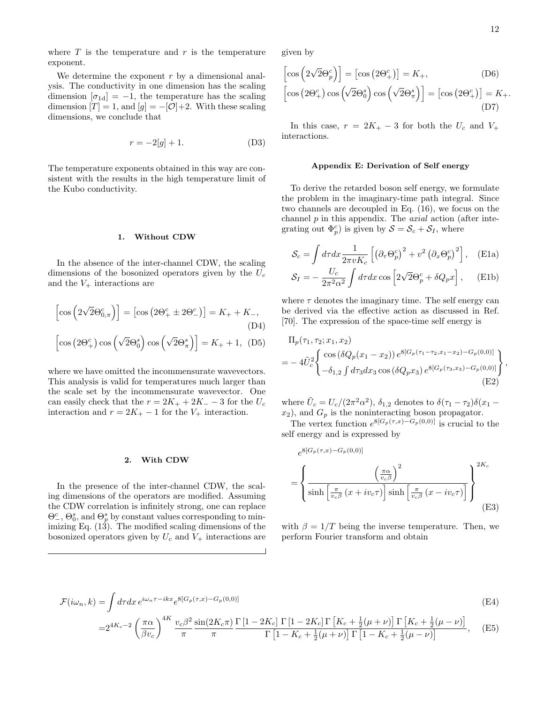where  $T$  is the temperature and  $r$  is the temperature exponent.

We determine the exponent  $r$  by a dimensional analysis. The conductivity in one dimension has the scaling dimension  $[\sigma_{1d}] = -1$ , the temperature has the scaling dimension  $[T] = 1$ , and  $[g] = -[O]+2$ . With these scaling dimensions, we conclude that

$$
r = -2[g] + 1.
$$
 (D3)

The temperature exponents obtained in this way are consistent with the results in the high temperature limit of the Kubo conductivity.

### 1. Without CDW

In the absence of the inter-channel CDW, the scaling dimensions of the bosonized operators given by the  $U_c$ and the  $V_+$  interactions are

$$
\[\cos\left(2\sqrt{2}\Theta_{0,\pi}^{c}\right)\] = \left[\cos\left(2\Theta_{+}^{c} \pm 2\Theta_{-}^{c}\right)\right] = K_{+} + K_{-},\tag{D4}
$$

$$
\left[\cos\left(2\Theta_+^c\right)\cos\left(\sqrt{2}\Theta_0^s\right)\cos\left(\sqrt{2}\Theta_\pi^s\right)\right] = K_+ + 1, \quad (D5)
$$

where we have omitted the incommensurate wavevectors. This analysis is valid for temperatures much larger than the scale set by the incommensurate wavevector. One can easily check that the  $r = 2K_+ + 2K_- - 3$  for the  $U_c$ interaction and  $r = 2K_{+} - 1$  for the  $V_{+}$  interaction.

### 2. With CDW

In the presence of the inter-channel CDW, the scaling dimensions of the operators are modified. Assuming the CDW correlation is infinitely strong, one can replace  $\Theta^c_-, \Theta^s_0$ , and  $\Theta^s_p$  by constant values corresponding to minimizing Eq. [\(13\)](#page-3-8). The modified scaling dimensions of the bosonized operators given by  $U_c$  and  $V_+$  interactions are given by

$$
\begin{bmatrix}\n\cos\left(2\sqrt{2}\Theta_p^c\right)\n\end{bmatrix} = \begin{bmatrix}\n\cos\left(2\Theta_+^c\right)\n\end{bmatrix} = K_+, \qquad (D6)
$$
\n
$$
\begin{bmatrix}\n\cos\left(2\Theta_+^c\right)\cos\left(\sqrt{2}\Theta_0^s\right)\cos\left(\sqrt{2}\Theta_\pi^s\right)\n\end{bmatrix} = \begin{bmatrix}\n\cos\left(2\Theta_+^c\right)\n\end{bmatrix} = K_+.
$$
\n
$$
(D7)
$$

In this case,  $r = 2K_{+} - 3$  for both the  $U_c$  and  $V_{+}$ interactions.

### <span id="page-11-0"></span>Appendix E: Derivation of Self energy

To derive the retarded boson self energy, we formulate the problem in the imaginary-time path integral. Since two channels are decoupled in Eq. [\(16\)](#page-6-3), we focus on the channel  $p$  in this appendix. The  $axial$  action (after integrating out  $\Phi_p^c$ ) is given by  $S = S_c + S_I$ , where

$$
S_c = \int d\tau dx \frac{1}{2\pi v K_c} \left[ \left( \partial_\tau \Theta_p^c \right)^2 + v^2 \left( \partial_x \Theta_p^c \right)^2 \right], \quad \text{(E1a)}
$$

$$
S_I = -\frac{U_c}{2\pi^2 \alpha^2} \int d\tau dx \cos\left[2\sqrt{2}\Theta_p^c + \delta Q_p x\right], \quad \text{(E1b)}
$$

where  $\tau$  denotes the imaginary time. The self energy can be derived via the effective action as discussed in Ref. [\[70\]](#page-13-29). The expression of the space-time self energy is

$$
\Pi_p(\tau_1, \tau_2; x_1, x_2)
$$
\n
$$
= -4\tilde{U}_c^2 \begin{cases}\n\cos\left(\delta Q_p(x_1 - x_2)\right) e^{8[G_p(\tau_1 - \tau_2, x_1 - x_2) - G_p(0, 0)]} \\
-\delta_{1,2} \int d\tau_3 dx_3 \cos\left(\delta Q_p x_3\right) e^{8[G_p(\tau_3, x_3) - G_p(0, 0)]}\n\end{cases},
$$
\n(E2)

<span id="page-11-1"></span>where  $\tilde{U}_c = U_c/(2\pi^2\alpha^2)$ ,  $\delta_{1,2}$  denotes to  $\delta(\tau_1 - \tau_2)\delta(x_1 - \tau_1)$  $x_2$ , and  $G_p$  is the noninteracting boson propagator.

The vertex function  $e^{8[G_p(\tau,x)-G_p(0,0)]}$  is crucial to the self energy and is expressed by

$$
e^{8[G_p(\tau,x)-G_p(0,0)]}
$$
\n
$$
= \left\{ \frac{\left(\frac{\pi\alpha}{v_c\beta}\right)^2}{\sinh\left[\frac{\pi}{v_c\beta}\left(x+iv_c\tau\right)\right] \sinh\left[\frac{\pi}{v_c\beta}\left(x-iv_c\tau\right)\right]} \right\}^{2K_c}
$$
\n(E3)

with  $\beta = 1/T$  being the inverse temperature. Then, we perform Fourier transform and obtain

$$
\mathcal{F}(i\omega_n, k) = \int d\tau dx \, e^{i\omega_n \tau - ikx} e^{8[G_p(\tau, x) - G_p(0, 0)]}
$$
\n
$$
= 2^{4K_c - 2} \left(\frac{\pi \alpha}{\beta v_c}\right)^{4K} \frac{v_c \beta^2}{\pi} \frac{\sin(2K_c \pi)}{\pi} \frac{\Gamma\left[1 - 2K_c\right] \Gamma\left[1 - 2K_c\right] \Gamma\left[K_c + \frac{1}{2}(\mu + \nu)\right] \Gamma\left[K_c + \frac{1}{2}(\mu - \nu)\right]}{\Gamma\left[1 - K_c + \frac{1}{2}(\mu + \nu)\right] \Gamma\left[1 - K_c + \frac{1}{2}(\mu - \nu)\right]},
$$
\n(E5)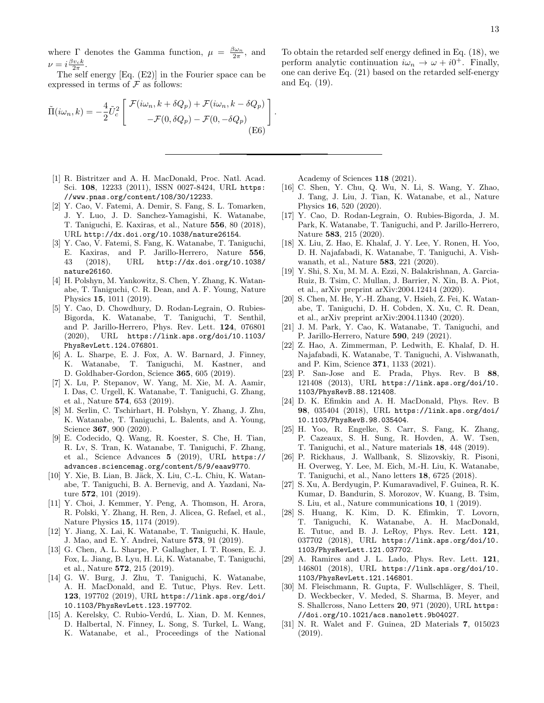where  $\Gamma$  denotes the Gamma function,  $\mu = \frac{\beta \omega_n}{2\pi}$ , and  $\nu = i \frac{\beta v_c k}{2\pi}.$ 

The self energy [Eq. [\(E2\)](#page-11-1)] in the Fourier space can be expressed in terms of  $\mathcal F$  as follows:

$$
\tilde{\Pi}(i\omega_n, k) = -\frac{4}{2}\tilde{U}_c^2 \begin{bmatrix} \mathcal{F}(i\omega_n, k + \delta Q_p) + \mathcal{F}(i\omega_n, k - \delta Q_p) \\ -\mathcal{F}(0, \delta Q_p) - \mathcal{F}(0, -\delta Q_p) \end{bmatrix}
$$
(E6)

- <span id="page-12-0"></span>[1] R. Bistritzer and A. H. MacDonald, Proc. Natl. Acad. Sci. 108, 12233 (2011), ISSN 0027-8424, URL [https:](https://www.pnas.org/content/108/30/12233) [//www.pnas.org/content/108/30/12233](https://www.pnas.org/content/108/30/12233).
- <span id="page-12-1"></span>[2] Y. Cao, V. Fatemi, A. Demir, S. Fang, S. L. Tomarken, J. Y. Luo, J. D. Sanchez-Yamagishi, K. Watanabe, T. Taniguchi, E. Kaxiras, et al., Nature 556, 80 (2018), URL <http://dx.doi.org/10.1038/nature26154>.
- <span id="page-12-2"></span>[3] Y. Cao, V. Fatemi, S. Fang, K. Watanabe, T. Taniguchi, E. Kaxiras, and P. Jarillo-Herrero, Nature 556, 43 (2018), URL [http://dx.doi.org/10.1038/](http://dx.doi.org/10.1038/nature26160) [nature26160](http://dx.doi.org/10.1038/nature26160).
- <span id="page-12-3"></span>[4] H. Polshyn, M. Yankowitz, S. Chen, Y. Zhang, K. Watanabe, T. Taniguchi, C. R. Dean, and A. F. Young, Nature Physics 15, 1011 (2019).
- <span id="page-12-4"></span>[5] Y. Cao, D. Chowdhury, D. Rodan-Legrain, O. Rubies-Bigorda, K. Watanabe, T. Taniguchi, T. Senthil, and P. Jarillo-Herrero, Phys. Rev. Lett. 124, 076801 (2020), URL [https://link.aps.org/doi/10.1103/](https://link.aps.org/doi/10.1103/PhysRevLett.124.076801) [PhysRevLett.124.076801](https://link.aps.org/doi/10.1103/PhysRevLett.124.076801).
- <span id="page-12-5"></span>[6] A. L. Sharpe, E. J. Fox, A. W. Barnard, J. Finney, K. Watanabe, T. Taniguchi, M. Kastner, and D. Goldhaber-Gordon, Science 365, 605 (2019).
- [7] X. Lu, P. Stepanov, W. Yang, M. Xie, M. A. Aamir, I. Das, C. Urgell, K. Watanabe, T. Taniguchi, G. Zhang, et al., Nature 574, 653 (2019).
- <span id="page-12-6"></span>[8] M. Serlin, C. Tschirhart, H. Polshyn, Y. Zhang, J. Zhu, K. Watanabe, T. Taniguchi, L. Balents, and A. Young, Science 367, 900 (2020).
- <span id="page-12-7"></span>[9] E. Codecido, Q. Wang, R. Koester, S. Che, H. Tian, R. Lv, S. Tran, K. Watanabe, T. Taniguchi, F. Zhang, et al., Science Advances 5 (2019), URL [https://](https://advances.sciencemag.org/content/5/9/eaaw9770) [advances.sciencemag.org/content/5/9/eaaw9770](https://advances.sciencemag.org/content/5/9/eaaw9770).
- [10] Y. Xie, B. Lian, B. Jäck, X. Liu, C.-L. Chiu, K. Watanabe, T. Taniguchi, B. A. Bernevig, and A. Yazdani, Nature 572, 101 (2019).
- [11] Y. Choi, J. Kemmer, Y. Peng, A. Thomson, H. Arora, R. Polski, Y. Zhang, H. Ren, J. Alicea, G. Refael, et al., Nature Physics 15, 1174 (2019).
- [12] Y. Jiang, X. Lai, K. Watanabe, T. Taniguchi, K. Haule, J. Mao, and E. Y. Andrei, Nature 573, 91 (2019).
- [13] G. Chen, A. L. Sharpe, P. Gallagher, I. T. Rosen, E. J. Fox, L. Jiang, B. Lyu, H. Li, K. Watanabe, T. Taniguchi, et al., Nature 572, 215 (2019).
- [14] G. W. Burg, J. Zhu, T. Taniguchi, K. Watanabe, A. H. MacDonald, and E. Tutuc, Phys. Rev. Lett. 123, 197702 (2019), URL [https://link.aps.org/doi/](https://link.aps.org/doi/10.1103/PhysRevLett.123.197702) [10.1103/PhysRevLett.123.197702](https://link.aps.org/doi/10.1103/PhysRevLett.123.197702).
- <span id="page-12-13"></span>[15] A. Kerelsky, C. Rubio-Verdú, L. Xian, D. M. Kennes, D. Halbertal, N. Finney, L. Song, S. Turkel, L. Wang, K. Watanabe, et al., Proceedings of the National

To obtain the retarded self energy defined in Eq. [\(18\)](#page-6-4), we perform analytic continuation  $i\omega_n \to \omega + i0^+$ . Finally, one can derive Eq. [\(21\)](#page-6-2) based on the retarded self-energy and Eq. [\(19\)](#page-6-1).

Academy of Sciences 118 (2021).

.

- [16] C. Shen, Y. Chu, Q. Wu, N. Li, S. Wang, Y. Zhao, J. Tang, J. Liu, J. Tian, K. Watanabe, et al., Nature Physics 16, 520 (2020).
- [17] Y. Cao, D. Rodan-Legrain, O. Rubies-Bigorda, J. M. Park, K. Watanabe, T. Taniguchi, and P. Jarillo-Herrero, Nature 583, 215 (2020).
- [18] X. Liu, Z. Hao, E. Khalaf, J. Y. Lee, Y. Ronen, H. Yoo, D. H. Najafabadi, K. Watanabe, T. Taniguchi, A. Vishwanath, et al., Nature 583, 221 (2020).
- [19] Y. Shi, S. Xu, M. M. A. Ezzi, N. Balakrishnan, A. Garcia-Ruiz, B. Tsim, C. Mullan, J. Barrier, N. Xin, B. A. Piot, et al., arXiv preprint [arXiv:2004.12414](http://arxiv.org/abs/2004.12414) (2020).
- [20] S. Chen, M. He, Y.-H. Zhang, V. Hsieh, Z. Fei, K. Watanabe, T. Taniguchi, D. H. Cobden, X. Xu, C. R. Dean, et al., arXiv preprint [arXiv:2004.11340](http://arxiv.org/abs/2004.11340) (2020).
- [21] J. M. Park, Y. Cao, K. Watanabe, T. Taniguchi, and P. Jarillo-Herrero, Nature 590, 249 (2021).
- <span id="page-12-8"></span>[22] Z. Hao, A. Zimmerman, P. Ledwith, E. Khalaf, D. H. Najafabadi, K. Watanabe, T. Taniguchi, A. Vishwanath, and P. Kim, Science 371, 1133 (2021).
- <span id="page-12-9"></span>[23] P. San-Jose and E. Prada, Phys. Rev. B 88, 121408 (2013), URL [https://link.aps.org/doi/10.](https://link.aps.org/doi/10.1103/PhysRevB.88.121408) [1103/PhysRevB.88.121408](https://link.aps.org/doi/10.1103/PhysRevB.88.121408).
- <span id="page-12-10"></span>[24] D. K. Efimkin and A. H. MacDonald, Phys. Rev. B 98, 035404 (2018), URL [https://link.aps.org/doi/](https://link.aps.org/doi/10.1103/PhysRevB.98.035404) [10.1103/PhysRevB.98.035404](https://link.aps.org/doi/10.1103/PhysRevB.98.035404).
- [25] H. Yoo, R. Engelke, S. Carr, S. Fang, K. Zhang, P. Cazeaux, S. H. Sung, R. Hovden, A. W. Tsen, T. Taniguchi, et al., Nature materials 18, 448 (2019).
- <span id="page-12-12"></span>[26] P. Rickhaus, J. Wallbank, S. Slizovskiy, R. Pisoni, H. Overweg, Y. Lee, M. Eich, M.-H. Liu, K. Watanabe, T. Taniguchi, et al., Nano letters 18, 6725 (2018).
- <span id="page-12-11"></span>[27] S. Xu, A. Berdyugin, P. Kumaravadivel, F. Guinea, R. K. Kumar, D. Bandurin, S. Morozov, W. Kuang, B. Tsim, S. Liu, et al., Nature communications 10, 1 (2019).
- [28] S. Huang, K. Kim, D. K. Efimkin, T. Lovorn, T. Taniguchi, K. Watanabe, A. H. MacDonald, E. Tutuc, and B. J. LeRoy, Phys. Rev. Lett. 121, 037702 (2018), URL [https://link.aps.org/doi/10.](https://link.aps.org/doi/10.1103/PhysRevLett.121.037702) [1103/PhysRevLett.121.037702](https://link.aps.org/doi/10.1103/PhysRevLett.121.037702).
- [29] A. Ramires and J. L. Lado, Phys. Rev. Lett. 121, 146801 (2018), URL [https://link.aps.org/doi/10.](https://link.aps.org/doi/10.1103/PhysRevLett.121.146801) [1103/PhysRevLett.121.146801](https://link.aps.org/doi/10.1103/PhysRevLett.121.146801).
- [30] M. Fleischmann, R. Gupta, F. Wullschläger, S. Theil, D. Weckbecker, V. Meded, S. Sharma, B. Meyer, and S. Shallcross, Nano Letters 20, 971 (2020), URL [https:](https://doi.org/10.1021/acs.nanolett.9b04027) [//doi.org/10.1021/acs.nanolett.9b04027](https://doi.org/10.1021/acs.nanolett.9b04027).
- [31] N. R. Walet and F. Guinea, 2D Materials 7, 015023 (2019).